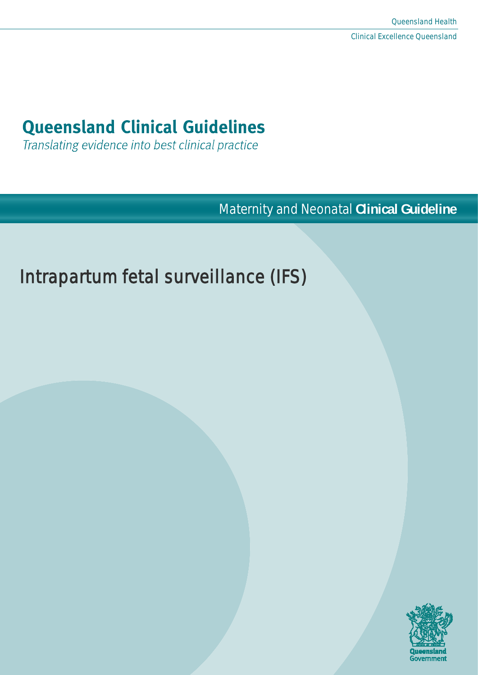# **Queensland Clinical Guidelines**

Translating evidence into best clinical practice

Maternity and Neonatal **Clinical Guideline**

# Intrapartum fetal surveillance (IFS)

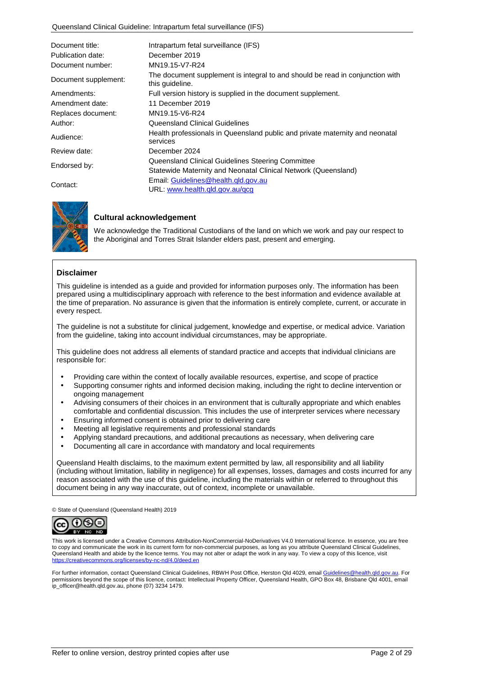| Document title:      | Intrapartum fetal surveillance (IFS)                                                                                |  |  |
|----------------------|---------------------------------------------------------------------------------------------------------------------|--|--|
| Publication date:    | December 2019                                                                                                       |  |  |
| Document number:     | MN19.15-V7-R24                                                                                                      |  |  |
| Document supplement: | The document supplement is integral to and should be read in conjunction with<br>this quideline.                    |  |  |
| Amendments:          | Full version history is supplied in the document supplement.                                                        |  |  |
| Amendment date:      | 11 December 2019                                                                                                    |  |  |
| Replaces document:   | MN19.15-V6-R24                                                                                                      |  |  |
| Author:              | Queensland Clinical Guidelines                                                                                      |  |  |
| Audience:            | Health professionals in Queensland public and private maternity and neonatal<br>services                            |  |  |
| Review date:         | December 2024                                                                                                       |  |  |
| Endorsed by:         | Queensland Clinical Guidelines Steering Committee<br>Statewide Maternity and Neonatal Clinical Network (Queensland) |  |  |
| Contact:             | Email: Guidelines@health.gld.gov.au<br>URL: www.health.gld.gov.au/gcg                                               |  |  |



#### **Cultural acknowledgement**

We acknowledge the Traditional Custodians of the land on which we work and pay our respect to the Aboriginal and Torres Strait Islander elders past, present and emerging.

#### **Disclaimer**

This guideline is intended as a guide and provided for information purposes only. The information has been prepared using a multidisciplinary approach with reference to the best information and evidence available at the time of preparation. No assurance is given that the information is entirely complete, current, or accurate in every respect.

The guideline is not a substitute for clinical judgement, knowledge and expertise, or medical advice. Variation from the guideline, taking into account individual circumstances, may be appropriate.

This guideline does not address all elements of standard practice and accepts that individual clinicians are responsible for:

- Providing care within the context of locally available resources, expertise, and scope of practice
- Supporting consumer rights and informed decision making, including the right to decline intervention or ongoing management
- Advising consumers of their choices in an environment that is culturally appropriate and which enables comfortable and confidential discussion. This includes the use of interpreter services where necessary
- Ensuring informed consent is obtained prior to delivering care
- Meeting all legislative requirements and professional standards
- Applying standard precautions, and additional precautions as necessary, when delivering care
- Documenting all care in accordance with mandatory and local requirements

Queensland Health disclaims, to the maximum extent permitted by law, all responsibility and all liability (including without limitation, liability in negligence) for all expenses, losses, damages and costs incurred for any reason associated with the use of this guideline, including the materials within or referred to throughout this document being in any way inaccurate, out of context, incomplete or unavailable.

© State of Queensland (Queensland Health) 2019



This work is licensed under a Creative Commons Attribution-NonCommercial-NoDerivatives V4.0 International licence. In essence, you are free to copy and communicate the work in its current form for non-commercial purposes, as long as you attribute Queensland Clinical Guidelines, Queensland Health and abide by the licence terms. You may not alter or adapt the work in any way. To view a copy of this licence, visit <https://creativecommons.org/licenses/by-nc-nd/4.0/deed.en>

For further information, contact Queensland Clinical Guidelines, RBWH Post Office, Herston Qld 4029, emai[l Guidelines@health.qld.gov.au.](mailto:Guidelines@health.qld.gov.au) For permissions beyond the scope of this licence, contact: Intellectual Property Officer, Queensland Health, GPO Box 48, Brisbane Qid 4001, email ip\_officer@health.qld.gov.au, phone (07) 3234 1479.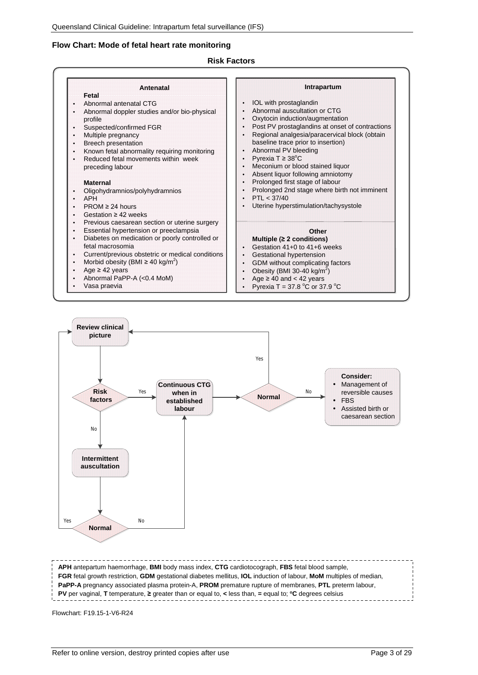#### **Flow Chart: Mode of fetal heart rate monitoring**

#### **Risk Factors**

| Antenatal                                               | Intrapartum                                        |
|---------------------------------------------------------|----------------------------------------------------|
| Fetal                                                   |                                                    |
| Abnormal antenatal CTG                                  | IOL with prostaglandin                             |
| Abnormal doppler studies and/or bio-physical            | Abnormal auscultation or CTG                       |
| profile                                                 | Oxytocin induction/augmentation                    |
| Suspected/confirmed FGR                                 | Post PV prostaglandins at onset of contractions    |
| Multiple pregnancy<br>¥.                                | Regional analgesia/paracervical block (obtain      |
| <b>Breech presentation</b><br>¥.                        | baseline trace prior to insertion)                 |
| Known fetal abnormality requiring monitoring<br>¥.      | Abnormal PV bleeding                               |
| Reduced fetal movements within week                     | Pyrexia $T \geq 38^{\circ}$ C                      |
| preceding labour                                        | Meconium or blood stained liquor                   |
|                                                         | Absent liquor following amniotomy                  |
| <b>Maternal</b>                                         | Prolonged first stage of labour                    |
| Oligohydramnios/polyhydramnios                          | Prolonged 2nd stage where birth not imminent       |
| <b>APH</b>                                              | PTI < 37/40                                        |
| $PROM \geq 24$ hours                                    | Uterine hyperstimulation/tachysystole              |
| Gestation $\geq 42$ weeks                               |                                                    |
| Previous caesarean section or uterine surgery<br>×.     |                                                    |
| Essential hypertension or preeclampsia<br>¥.            | Other                                              |
| Diabetes on medication or poorly controlled or          | Multiple ( $\geq 2$ conditions)                    |
| fetal macrosomia                                        | Gestation 41+0 to 41+6 weeks                       |
| Current/previous obstetric or medical conditions<br>¥.  | Gestational hypertension                           |
| Morbid obesity (BMI $\geq$ 40 kg/m <sup>2</sup> )<br>×. | GDM without complicating factors                   |
| Age $\geq$ 42 years                                     | Obesity (BMI 30-40 kg/ $m^2$ )                     |
| Abnormal PaPP-A (<0.4 MoM)                              | Age $\geq 40$ and $< 42$ years                     |
| Vasa praevia                                            | Pyrexia T = 37.8 $^{\circ}$ C or 37.9 $^{\circ}$ C |



**APH** antepartum haemorrhage, **BMI** body mass index, **CTG** cardiotocograph, **FBS** fetal blood sample, **FGR** fetal growth restriction, **GDM** gestational diabetes mellitus, **IOL** induction of labour, **MoM** multiples of median, **PaPP-A** pregnancy associated plasma protein-A, **PROM** premature rupture of membranes, **PTL** preterm labour, **PV** per vaginal, **T** temperature, **≥** greater than or equal to, **<** less than, **=** equal to; **oC** degrees celsius

Flowchart: F19.15-1-V6-R24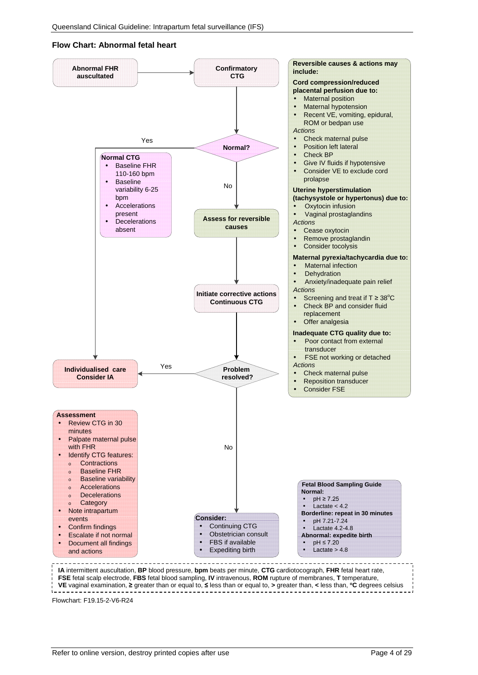#### **Flow Chart: Abnormal fetal heart**

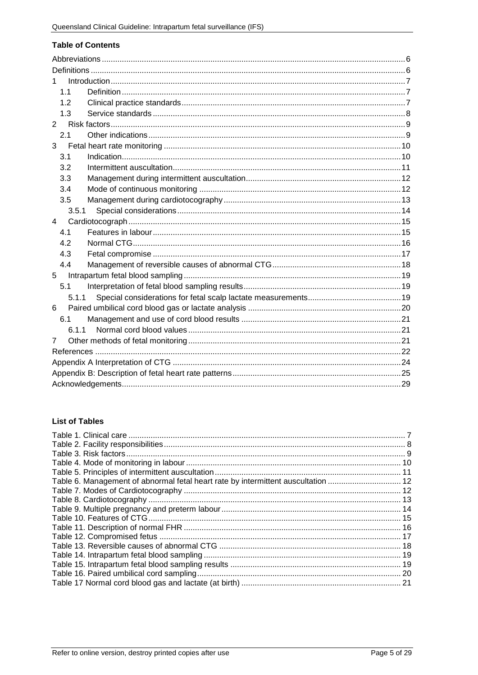#### **Table of Contents**

| 1.1            |       |  |  |
|----------------|-------|--|--|
| 1.2            |       |  |  |
| 1.3            |       |  |  |
| $\overline{2}$ |       |  |  |
| 2.1            |       |  |  |
| 3              |       |  |  |
| 3.1            |       |  |  |
| 3.2            |       |  |  |
| 3.3            |       |  |  |
| 3.4            |       |  |  |
| 3.5            |       |  |  |
| 3.5.1          |       |  |  |
| 4              |       |  |  |
| 4.1            |       |  |  |
| 4.2            |       |  |  |
| 4.3            |       |  |  |
| 4.4            |       |  |  |
| 5              |       |  |  |
| 5.1            |       |  |  |
|                | 5.1.1 |  |  |
| 6              |       |  |  |
| 6.1            |       |  |  |
| 6.1.1          |       |  |  |
| $\overline{7}$ |       |  |  |
|                |       |  |  |
|                |       |  |  |
|                |       |  |  |
|                |       |  |  |

#### **List of Tables**

| Table 6. Management of abnormal fetal heart rate by intermittent auscultation  12 |  |
|-----------------------------------------------------------------------------------|--|
|                                                                                   |  |
|                                                                                   |  |
|                                                                                   |  |
|                                                                                   |  |
|                                                                                   |  |
|                                                                                   |  |
|                                                                                   |  |
|                                                                                   |  |
|                                                                                   |  |
|                                                                                   |  |
|                                                                                   |  |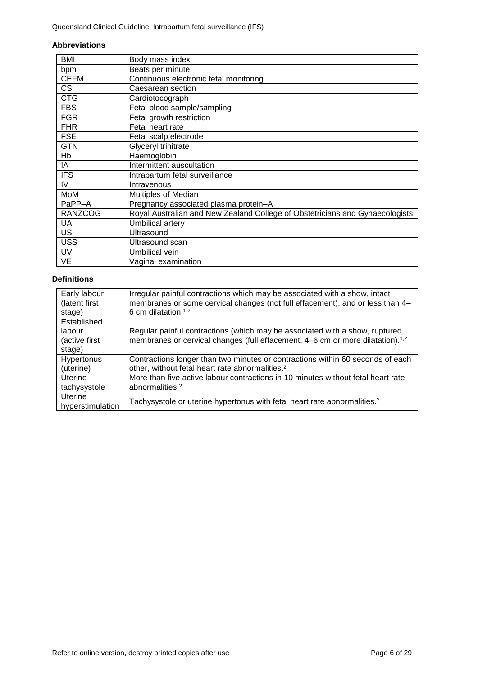#### <span id="page-5-0"></span>**Abbreviations**

| BMI            | Body mass index                                                              |
|----------------|------------------------------------------------------------------------------|
| bpm            | Beats per minute                                                             |
| <b>CEFM</b>    | Continuous electronic fetal monitoring                                       |
| <b>CS</b>      | Caesarean section                                                            |
| <b>CTG</b>     | Cardiotocograph                                                              |
| <b>FBS</b>     | Fetal blood sample/sampling                                                  |
| <b>FGR</b>     | Fetal growth restriction                                                     |
| <b>FHR</b>     | Fetal heart rate                                                             |
| <b>FSE</b>     | Fetal scalp electrode                                                        |
| <b>GTN</b>     | Glyceryl trinitrate                                                          |
| Hb             | Haemoglobin                                                                  |
| IA             | Intermittent auscultation                                                    |
| <b>IFS</b>     | Intrapartum fetal surveillance                                               |
| IV             | Intravenous                                                                  |
| MoM            | Multiples of Median                                                          |
| PaPP-A         | Pregnancy associated plasma protein-A                                        |
| <b>RANZCOG</b> | Royal Australian and New Zealand College of Obstetricians and Gynaecologists |
| <b>UA</b>      | Umbilical artery                                                             |
| <b>US</b>      | Ultrasound                                                                   |
| <b>USS</b>     | Ultrasound scan                                                              |
| UV             | Umbilical vein                                                               |
| VE             | Vaginal examination                                                          |

## <span id="page-5-1"></span>**Definitions**

| Early labour<br>(latent first)<br>stage) | Irregular painful contractions which may be associated with a show, intact<br>membranes or some cervical changes (not full effacement), and or less than 4-<br>6 cm dilatation. <sup>1,2</sup> |
|------------------------------------------|------------------------------------------------------------------------------------------------------------------------------------------------------------------------------------------------|
| Established                              |                                                                                                                                                                                                |
| labour                                   | Regular painful contractions (which may be associated with a show, ruptured                                                                                                                    |
| (active first                            | membranes or cervical changes (full effacement, 4–6 cm or more dilatation). <sup>1,2</sup>                                                                                                     |
| stage)                                   |                                                                                                                                                                                                |
| <b>Hypertonus</b>                        | Contractions longer than two minutes or contractions within 60 seconds of each                                                                                                                 |
| (uterine)                                | other, without fetal heart rate abnormalities. <sup>2</sup>                                                                                                                                    |
| Uterine                                  | More than five active labour contractions in 10 minutes without fetal heart rate                                                                                                               |
| tachysystole                             | abnormalities. <sup>2</sup>                                                                                                                                                                    |
| Uterine                                  |                                                                                                                                                                                                |
| hyperstimulation                         | Tachysystole or uterine hypertonus with fetal heart rate abnormalities. <sup>2</sup>                                                                                                           |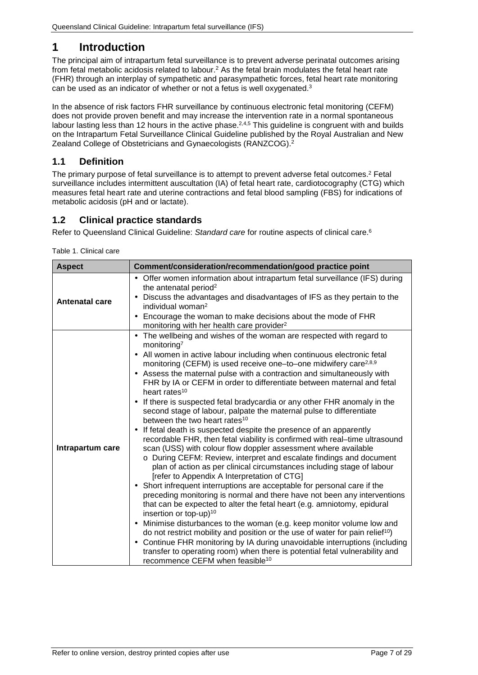# <span id="page-6-0"></span>**1 Introduction**

The principal aim of intrapartum fetal surveillance is to prevent adverse perinatal outcomes arising from fetal metabolic acidosis related to labour.2 As the fetal brain modulates the fetal heart rate (FHR) through an interplay of sympathetic and parasympathetic forces, fetal heart rate monitoring can be used as an indicator of whether or not a fetus is well oxygenated.<sup>3</sup>

In the absence of risk factors FHR surveillance by continuous electronic fetal monitoring (CEFM) does not provide proven benefit and may increase the intervention rate in a normal spontaneous labour lasting less than 12 hours in the active phase.<sup>2,4,5</sup> This guideline is congruent with and builds on the Intrapartum Fetal Surveillance Clinical Guideline published by the Royal Australian and New Zealand College of Obstetricians and Gynaecologists (RANZCOG).2

## <span id="page-6-1"></span>**1.1 Definition**

The primary purpose of fetal surveillance is to attempt to prevent adverse fetal outcomes. <sup>2</sup> Fetal surveillance includes intermittent auscultation (IA) of fetal heart rate, cardiotocography (CTG) which measures fetal heart rate and uterine contractions and fetal blood sampling (FBS) for indications of metabolic acidosis (pH and or lactate).

## <span id="page-6-2"></span>**1.2 Clinical practice standards**

<span id="page-6-3"></span>Refer to Queensland Clinical Guideline: *Standard care* for routine aspects of clinical care. 6

Table 1. Clinical care

| <b>Aspect</b>         | Comment/consideration/recommendation/good practice point                                                                                                                                                                                                                                                                                                                                                                                                                                                                                                                                                      |  |  |
|-----------------------|---------------------------------------------------------------------------------------------------------------------------------------------------------------------------------------------------------------------------------------------------------------------------------------------------------------------------------------------------------------------------------------------------------------------------------------------------------------------------------------------------------------------------------------------------------------------------------------------------------------|--|--|
|                       | Offer women information about intrapartum fetal surveillance (IFS) during<br>the antenatal period <sup>2</sup>                                                                                                                                                                                                                                                                                                                                                                                                                                                                                                |  |  |
| <b>Antenatal care</b> | Discuss the advantages and disadvantages of IFS as they pertain to the<br>٠<br>individual woman <sup>2</sup>                                                                                                                                                                                                                                                                                                                                                                                                                                                                                                  |  |  |
|                       | Encourage the woman to make decisions about the mode of FHR<br>monitoring with her health care provider <sup>2</sup>                                                                                                                                                                                                                                                                                                                                                                                                                                                                                          |  |  |
|                       | The wellbeing and wishes of the woman are respected with regard to<br>×,<br>monitoring <sup>7</sup><br>All women in active labour including when continuous electronic fetal<br>×,<br>monitoring (CEFM) is used receive one-to-one midwifery care <sup>2,8,9</sup><br>Assess the maternal pulse with a contraction and simultaneously with<br>FHR by IA or CEFM in order to differentiate between maternal and fetal<br>heart rates <sup>10</sup><br>If there is suspected fetal bradycardia or any other FHR anomaly in the<br>second stage of labour, palpate the maternal pulse to differentiate           |  |  |
| Intrapartum care      | between the two heart rates <sup>10</sup><br>If fetal death is suspected despite the presence of an apparently<br>recordable FHR, then fetal viability is confirmed with real-time ultrasound<br>scan (USS) with colour flow doppler assessment where available<br>o During CEFM: Review, interpret and escalate findings and document<br>plan of action as per clinical circumstances including stage of labour<br>[refer to Appendix A Interpretation of CTG]<br>Short infrequent interruptions are acceptable for personal care if the<br>$\blacksquare$                                                   |  |  |
|                       | preceding monitoring is normal and there have not been any interventions<br>that can be expected to alter the fetal heart (e.g. amniotomy, epidural<br>insertion or top-up) <sup>10</sup><br>Minimise disturbances to the woman (e.g. keep monitor volume low and<br>$\blacksquare$<br>do not restrict mobility and position or the use of water for pain relief <sup>10</sup> )<br>Continue FHR monitoring by IA during unavoidable interruptions (including<br>$\blacksquare$<br>transfer to operating room) when there is potential fetal vulnerability and<br>recommence CEFM when feasible <sup>10</sup> |  |  |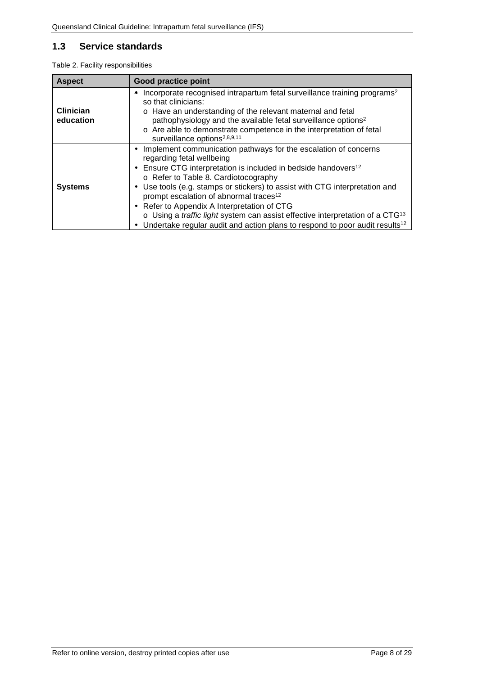## <span id="page-7-0"></span>**1.3 Service standards**

<span id="page-7-1"></span>

|  |  | Table 2. Facility responsibilities |
|--|--|------------------------------------|
|--|--|------------------------------------|

| <b>Aspect</b>                                                                                                                                                                                                                                                                                                                                                                                                                          | <b>Good practice point</b>                                                                                                                                                                                                                                                                                                                                                                                                                                                                                                                                                                                                             |  |  |
|----------------------------------------------------------------------------------------------------------------------------------------------------------------------------------------------------------------------------------------------------------------------------------------------------------------------------------------------------------------------------------------------------------------------------------------|----------------------------------------------------------------------------------------------------------------------------------------------------------------------------------------------------------------------------------------------------------------------------------------------------------------------------------------------------------------------------------------------------------------------------------------------------------------------------------------------------------------------------------------------------------------------------------------------------------------------------------------|--|--|
| Incorporate recognised intrapartum fetal surveillance training programs <sup>2</sup><br>$\overline{\phantom{m}}$<br>so that clinicians:<br><b>Clinician</b><br>o Have an understanding of the relevant maternal and fetal<br>education<br>pathophysiology and the available fetal surveillance options <sup>2</sup><br>o Are able to demonstrate competence in the interpretation of fetal<br>surveillance options <sup>2,8,9,11</sup> |                                                                                                                                                                                                                                                                                                                                                                                                                                                                                                                                                                                                                                        |  |  |
| <b>Systems</b>                                                                                                                                                                                                                                                                                                                                                                                                                         | Implement communication pathways for the escalation of concerns<br>٠<br>regarding fetal wellbeing<br>Ensure CTG interpretation is included in bedside handovers <sup>12</sup><br>$\blacksquare$<br>o Refer to Table 8. Cardiotocography<br>Use tools (e.g. stamps or stickers) to assist with CTG interpretation and<br>٠<br>prompt escalation of abnormal traces <sup>12</sup><br>Refer to Appendix A Interpretation of CTG<br>$\blacksquare$<br>o Using a traffic light system can assist effective interpretation of a CTG <sup>13</sup><br>Undertake regular audit and action plans to respond to poor audit results <sup>12</sup> |  |  |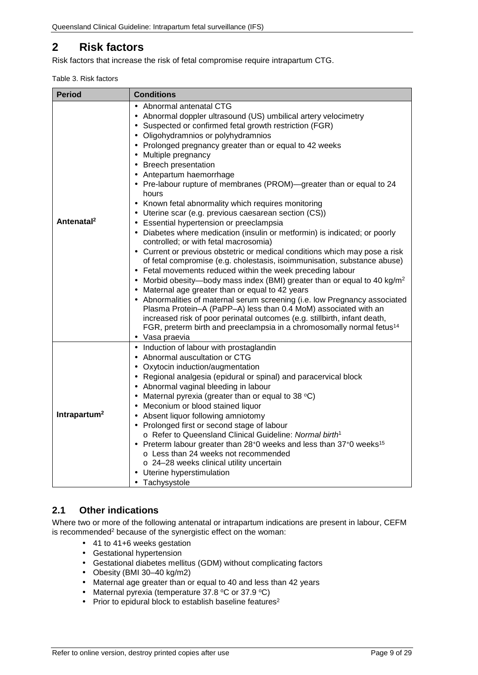# <span id="page-8-0"></span>**2 Risk factors**

<span id="page-8-2"></span>Risk factors that increase the risk of fetal compromise require intrapartum CTG.

|  | Table 3. Risk factors |
|--|-----------------------|
|  |                       |

| <b>Period</b>            | <b>Conditions</b>                                                                                                                                                                                                                                                                                                                                                                                                                                                                                                                                                                                                                                                                                                                                                                                                                                                                                                                                                                                                                                                                                                                                                                                                                                                                                                                                                                                                                                                                                                                 |  |  |
|--------------------------|-----------------------------------------------------------------------------------------------------------------------------------------------------------------------------------------------------------------------------------------------------------------------------------------------------------------------------------------------------------------------------------------------------------------------------------------------------------------------------------------------------------------------------------------------------------------------------------------------------------------------------------------------------------------------------------------------------------------------------------------------------------------------------------------------------------------------------------------------------------------------------------------------------------------------------------------------------------------------------------------------------------------------------------------------------------------------------------------------------------------------------------------------------------------------------------------------------------------------------------------------------------------------------------------------------------------------------------------------------------------------------------------------------------------------------------------------------------------------------------------------------------------------------------|--|--|
| Antenatal <sup>2</sup>   | Abnormal antenatal CTG<br>Abnormal doppler ultrasound (US) umbilical artery velocimetry<br>Suspected or confirmed fetal growth restriction (FGR)<br>$\blacksquare$<br>Oligohydramnios or polyhydramnios<br>Prolonged pregnancy greater than or equal to 42 weeks<br>Multiple pregnancy<br><b>Breech presentation</b><br>$\blacksquare$<br>Antepartum haemorrhage<br>$\blacksquare$<br>Pre-labour rupture of membranes (PROM)—greater than or equal to 24<br>hours<br>Known fetal abnormality which requires monitoring<br>Uterine scar (e.g. previous caesarean section (CS))<br>$\blacksquare$<br>Essential hypertension or preeclampsia<br>$\blacksquare$<br>Diabetes where medication (insulin or metformin) is indicated; or poorly<br>controlled; or with fetal macrosomia)<br>Current or previous obstetric or medical conditions which may pose a risk<br>of fetal compromise (e.g. cholestasis, isoimmunisation, substance abuse)<br>Fetal movements reduced within the week preceding labour<br>$\blacksquare$<br>Morbid obesity-body mass index (BMI) greater than or equal to 40 kg/m <sup>2</sup><br>$\bullet$<br>Maternal age greater than or equal to 42 years<br>Abnormalities of maternal serum screening (i.e. low Pregnancy associated<br>$\blacksquare$<br>Plasma Protein-A (PaPP-A) less than 0.4 MoM) associated with an<br>increased risk of poor perinatal outcomes (e.g. stillbirth, infant death,<br>FGR, preterm birth and preeclampsia in a chromosomally normal fetus <sup>14</sup><br>· Vasa praevia |  |  |
| Intrapartum <sup>2</sup> | Induction of labour with prostaglandin<br>$\epsilon$<br>Abnormal auscultation or CTG<br>$\blacksquare$<br>Oxytocin induction/augmentation<br>Regional analgesia (epidural or spinal) and paracervical block<br>Abnormal vaginal bleeding in labour<br>Maternal pyrexia (greater than or equal to 38 $^{\circ}$ C)<br>$\blacksquare$<br>Meconium or blood stained liquor<br>Absent liquor following amniotomy<br>Prolonged first or second stage of labour<br>o Refer to Queensland Clinical Guideline: Normal birth <sup>1</sup><br>Preterm labour greater than 28+0 weeks and less than 37+0 weeks <sup>15</sup><br>$\blacksquare$<br>o Less than 24 weeks not recommended<br>o 24-28 weeks clinical utility uncertain<br>Uterine hyperstimulation<br>Tachysystole<br>$\blacksquare$                                                                                                                                                                                                                                                                                                                                                                                                                                                                                                                                                                                                                                                                                                                                             |  |  |

## <span id="page-8-1"></span>**2.1 Other indications**

Where two or more of the following antenatal or intrapartum indications are present in labour, CEFM is recommended<sup>2</sup> because of the synergistic effect on the woman:

- 41 to 41+6 weeks gestation
- Gestational hypertension
- Gestational diabetes mellitus (GDM) without complicating factors
- Obesity (BMI 30–40 kg/m2)
- Maternal age greater than or equal to 40 and less than 42 years
- Maternal pyrexia (temperature  $37.8$  °C or  $37.9$  °C)  $\mathcal{L}^{\mathcal{L}}$
- Prior to epidural block to establish baseline features<sup>2</sup>  $\mathbb{Z}^{\mathbb{Z}}$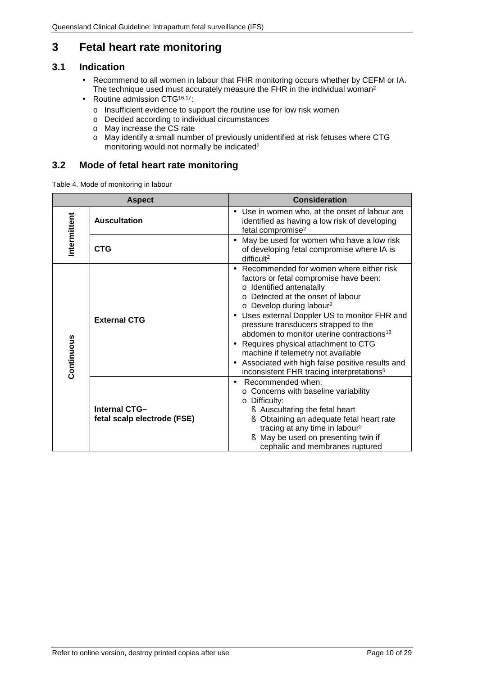# <span id="page-9-0"></span>**3 Fetal heart rate monitoring**

## <span id="page-9-1"></span>**3.1 Indication**

- Recommend to all women in labour that FHR monitoring occurs whether by CEFM or IA. J. The technique used must accurately measure the FHR in the individual woman<sup>2</sup>
- Routine admission CTG<sup>16,17</sup>:  $\blacksquare$ 
	- o Insufficient evidence to support the routine use for low risk women
	- o Decided according to individual circumstances
	- o May increase the CS rate
	- o May identify a small number of previously unidentified at risk fetuses where CTG monitoring would not normally be indicated2

### **3.2 Mode of fetal heart rate monitoring**

<span id="page-9-2"></span>Table 4. Mode of monitoring in labour

| <b>Aspect</b> |                                                     | <b>Consideration</b>                                                                                                                                                                                                                                                                                                                                                                                                                                                                                                                |
|---------------|-----------------------------------------------------|-------------------------------------------------------------------------------------------------------------------------------------------------------------------------------------------------------------------------------------------------------------------------------------------------------------------------------------------------------------------------------------------------------------------------------------------------------------------------------------------------------------------------------------|
| Intermittent  | <b>Auscultation</b>                                 | Use in women who, at the onset of labour are<br>identified as having a low risk of developing<br>fetal compromise <sup>2</sup>                                                                                                                                                                                                                                                                                                                                                                                                      |
|               | <b>CTG</b>                                          | May be used for women who have a low risk<br>of developing fetal compromise where IA is<br>difficult <sup>2</sup>                                                                                                                                                                                                                                                                                                                                                                                                                   |
| Continuous    | <b>External CTG</b>                                 | Recommended for women where either risk<br>factors or fetal compromise have been:<br>o Identified antenatally<br>o Detected at the onset of labour<br>o Develop during labour <sup>2</sup><br>Uses external Doppler US to monitor FHR and<br>pressure transducers strapped to the<br>abdomen to monitor uterine contractions <sup>18</sup><br>Requires physical attachment to CTG<br>machine if telemetry not available<br>Associated with high false positive results and<br>inconsistent FHR tracing interpretations <sup>5</sup> |
|               | <b>Internal CTG-</b><br>fetal scalp electrode (FSE) | Recommended when:<br>o Concerns with baseline variability<br>o Difficulty:<br><b>§</b> Auscultating the fetal heart<br>Obtaining an adequate fetal heart rate<br>tracing at any time in labour <sup>2</sup><br>May be used on presenting twin if<br>Ş<br>cephalic and membranes ruptured                                                                                                                                                                                                                                            |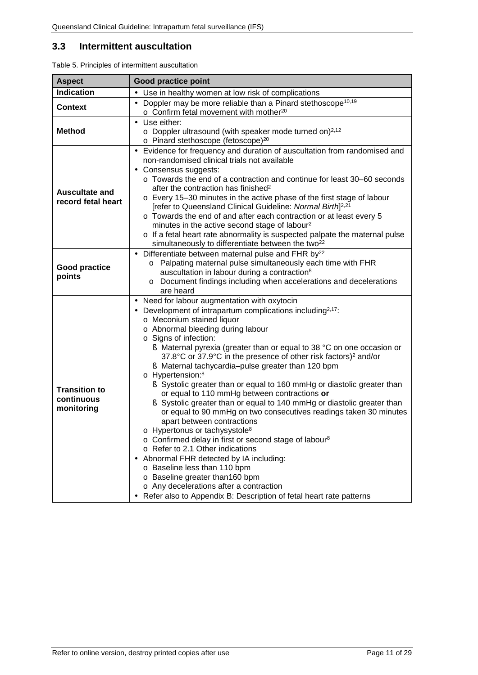## <span id="page-10-0"></span>**3.3 Intermittent auscultation**

| <b>Aspect</b>                                    | <b>Good practice point</b>                                                                                                                                                                                                                                                                                                                                                                                                                                                                                                                                                                                                                                                                                                                                                                                                                                                                                                                                                                                                                                                                                                                                                           |  |
|--------------------------------------------------|--------------------------------------------------------------------------------------------------------------------------------------------------------------------------------------------------------------------------------------------------------------------------------------------------------------------------------------------------------------------------------------------------------------------------------------------------------------------------------------------------------------------------------------------------------------------------------------------------------------------------------------------------------------------------------------------------------------------------------------------------------------------------------------------------------------------------------------------------------------------------------------------------------------------------------------------------------------------------------------------------------------------------------------------------------------------------------------------------------------------------------------------------------------------------------------|--|
| <b>Indication</b>                                | Use in healthy women at low risk of complications                                                                                                                                                                                                                                                                                                                                                                                                                                                                                                                                                                                                                                                                                                                                                                                                                                                                                                                                                                                                                                                                                                                                    |  |
| <b>Context</b>                                   | Doppler may be more reliable than a Pinard stethoscope <sup>10,19</sup><br>$\circ$ Confirm fetal movement with mother <sup>20</sup>                                                                                                                                                                                                                                                                                                                                                                                                                                                                                                                                                                                                                                                                                                                                                                                                                                                                                                                                                                                                                                                  |  |
| <b>Method</b>                                    | Use either:<br>$\blacksquare$<br>$\circ$ Doppler ultrasound (with speaker mode turned on) <sup>2,12</sup><br>o Pinard stethoscope (fetoscope) <sup>20</sup>                                                                                                                                                                                                                                                                                                                                                                                                                                                                                                                                                                                                                                                                                                                                                                                                                                                                                                                                                                                                                          |  |
| <b>Auscultate and</b><br>record fetal heart      | Evidence for frequency and duration of auscultation from randomised and<br>$\blacksquare$<br>non-randomised clinical trials not available<br>Consensus suggests:<br>$\blacksquare$<br>o Towards the end of a contraction and continue for least 30–60 seconds<br>after the contraction has finished <sup>2</sup><br>o Every 15-30 minutes in the active phase of the first stage of labour<br>[refer to Queensland Clinical Guideline: Normal Birth] <sup>2,21</sup><br>o Towards the end of and after each contraction or at least every 5<br>minutes in the active second stage of labour <sup>2</sup><br>o If a fetal heart rate abnormality is suspected palpate the maternal pulse<br>simultaneously to differentiate between the two <sup>22</sup>                                                                                                                                                                                                                                                                                                                                                                                                                             |  |
| <b>Good practice</b><br>points                   | Differentiate between maternal pulse and FHR by <sup>22</sup><br>$\blacksquare$<br>o Palpating maternal pulse simultaneously each time with FHR<br>auscultation in labour during a contraction <sup>8</sup><br>Document findings including when accelerations and decelerations<br>$\circ$<br>are heard                                                                                                                                                                                                                                                                                                                                                                                                                                                                                                                                                                                                                                                                                                                                                                                                                                                                              |  |
| <b>Transition to</b><br>continuous<br>monitoring | Need for labour augmentation with oxytocin<br>$\blacksquare$<br>Development of intrapartum complications including <sup>2,17</sup> :<br>$\blacksquare$<br>o Meconium stained liquor<br>o Abnormal bleeding during labour<br>o Signs of infection:<br>S Maternal pyrexia (greater than or equal to 38 °C on one occasion or<br>37.8°C or 37.9°C in the presence of other risk factors) <sup>2</sup> and/or<br>S Maternal tachycardia-pulse greater than 120 bpm<br>o Hypertension: <sup>8</sup><br>Systolic greater than or equal to 160 mmHg or diastolic greater than<br>or equal to 110 mmHg between contractions or<br>Systolic greater than or equal to 140 mmHg or diastolic greater than<br>or equal to 90 mmHg on two consecutives readings taken 30 minutes<br>apart between contractions<br>o Hypertonus or tachysystole <sup>8</sup><br>o Confirmed delay in first or second stage of labour <sup>8</sup><br>o Refer to 2.1 Other indications<br>Abnormal FHR detected by IA including:<br>o Baseline less than 110 bpm<br>o Baseline greater than160 bpm<br>o Any decelerations after a contraction<br>Refer also to Appendix B: Description of fetal heart rate patterns |  |

<span id="page-10-1"></span>Table 5. Principles of intermittent auscultation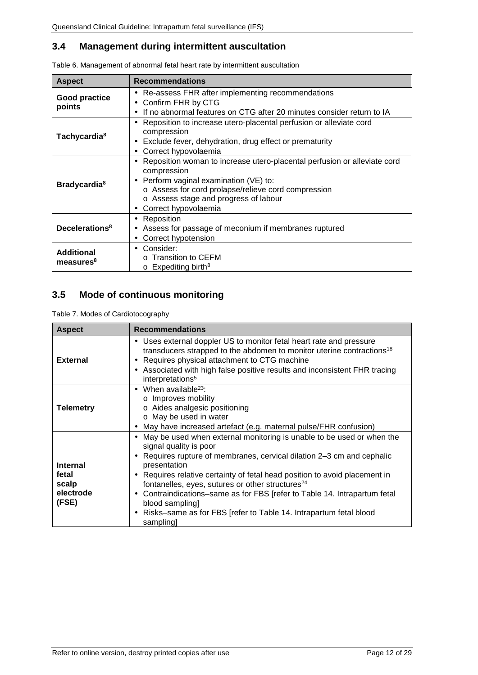## <span id="page-11-0"></span>**3.4 Management during intermittent auscultation**

| <b>Aspect</b>                              | <b>Recommendations</b>                                                                                                                                                                                                                                                                           |  |
|--------------------------------------------|--------------------------------------------------------------------------------------------------------------------------------------------------------------------------------------------------------------------------------------------------------------------------------------------------|--|
| Good practice<br>points                    | Re-assess FHR after implementing recommendations<br>$\blacksquare$<br>Confirm FHR by CTG<br>$\blacksquare$<br>If no abnormal features on CTG after 20 minutes consider return to IA<br>$\blacksquare$                                                                                            |  |
| Tachycardia <sup>8</sup>                   | Reposition to increase utero-placental perfusion or alleviate cord<br>٠<br>compression<br>Exclude fever, dehydration, drug effect or prematurity<br>$\blacksquare$<br>Correct hypovolaemia<br>$\blacksquare$                                                                                     |  |
| <b>Bradycardia</b> <sup>8</sup>            | Reposition woman to increase utero-placental perfusion or alleviate cord<br>٠<br>compression<br>Perform vaginal examination (VE) to:<br>$\blacksquare$<br>o Assess for cord prolapse/relieve cord compression<br>o Assess stage and progress of labour<br>Correct hypovolaemia<br>$\blacksquare$ |  |
| Decelerations <sup>8</sup>                 | Reposition<br>٠<br>Assess for passage of meconium if membranes ruptured<br>٠<br>Correct hypotension<br>$\blacksquare$                                                                                                                                                                            |  |
| <b>Additional</b><br>measures <sup>8</sup> | Consider:<br>$\blacksquare$<br><b>Transition to CEFM</b><br>$\circ$ Expediting birth <sup>8</sup>                                                                                                                                                                                                |  |

<span id="page-11-2"></span>Table 6. Management of abnormal fetal heart rate by intermittent auscultation

# <span id="page-11-1"></span>**3.5 Mode of continuous monitoring**

<span id="page-11-3"></span>Table 7. Modes of Cardiotocography

| <b>Aspect</b>                                           | <b>Recommendations</b>                                                                                                                                                                                                                                                                                                                                                                                                                                                                                                                                                                          |  |
|---------------------------------------------------------|-------------------------------------------------------------------------------------------------------------------------------------------------------------------------------------------------------------------------------------------------------------------------------------------------------------------------------------------------------------------------------------------------------------------------------------------------------------------------------------------------------------------------------------------------------------------------------------------------|--|
| <b>External</b>                                         | Uses external doppler US to monitor fetal heart rate and pressure<br>$\blacksquare$<br>transducers strapped to the abdomen to monitor uterine contractions <sup>18</sup><br>Requires physical attachment to CTG machine<br>٠<br>Associated with high false positive results and inconsistent FHR tracing<br>interpretations <sup>5</sup>                                                                                                                                                                                                                                                        |  |
| <b>Telemetry</b>                                        | When available $23$ :<br>o Improves mobility<br>o Aides analgesic positioning<br>o May be used in water<br>May have increased artefact (e.g. maternal pulse/FHR confusion)<br>٠                                                                                                                                                                                                                                                                                                                                                                                                                 |  |
| <b>Internal</b><br>fetal<br>scalp<br>electrode<br>(FSE) | May be used when external monitoring is unable to be used or when the<br>$\blacksquare$<br>signal quality is poor<br>Requires rupture of membranes, cervical dilation 2–3 cm and cephalic<br>٠<br>presentation<br>Requires relative certainty of fetal head position to avoid placement in<br>$\blacksquare$<br>fontanelles, eyes, sutures or other structures <sup>24</sup><br>Contraindications-same as for FBS [refer to Table 14. Intrapartum fetal<br>$\blacksquare$<br>blood sampling]<br>Risks-same as for FBS [refer to Table 14. Intrapartum fetal blood<br>$\blacksquare$<br>sampling |  |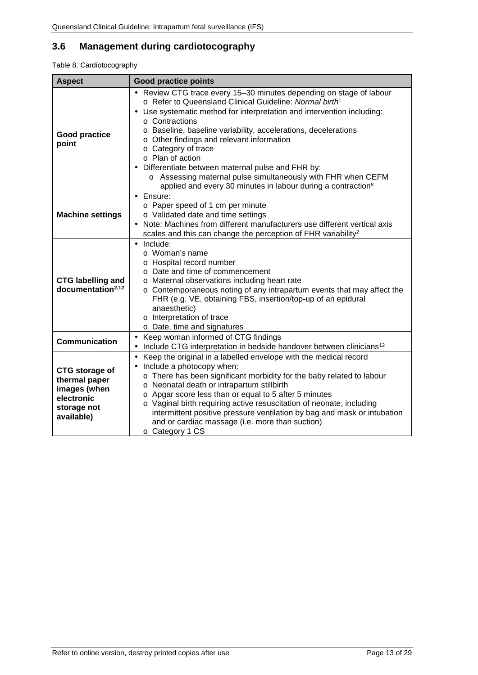# <span id="page-12-0"></span>**3.6 Management during cardiotocography**

#### <span id="page-12-1"></span>Table 8. Cardiotocography

| <b>Aspect</b>                                                                                     | <b>Good practice points</b>                                                                                                                                                                                                                                                                                                                                                                                                                                                                                                                                                                          |  |
|---------------------------------------------------------------------------------------------------|------------------------------------------------------------------------------------------------------------------------------------------------------------------------------------------------------------------------------------------------------------------------------------------------------------------------------------------------------------------------------------------------------------------------------------------------------------------------------------------------------------------------------------------------------------------------------------------------------|--|
| <b>Good practice</b><br>point                                                                     | - Review CTG trace every 15-30 minutes depending on stage of labour<br>o Refer to Queensland Clinical Guideline: Normal birth <sup>1</sup><br>Use systematic method for interpretation and intervention including:<br>o Contractions<br>o Baseline, baseline variability, accelerations, decelerations<br>o Other findings and relevant information<br>$\circ$ Category of trace<br>o Plan of action<br>Differentiate between maternal pulse and FHR by:<br>o Assessing maternal pulse simultaneously with FHR when CEFM<br>applied and every 30 minutes in labour during a contraction <sup>8</sup> |  |
| <b>Machine settings</b>                                                                           | Ensure:<br>o Paper speed of 1 cm per minute<br>o Validated date and time settings<br>Note: Machines from different manufacturers use different vertical axis<br>scales and this can change the perception of FHR variability <sup>2</sup>                                                                                                                                                                                                                                                                                                                                                            |  |
| <b>CTG labelling and</b><br>documentation <sup>2,12</sup>                                         | Include:<br>$\circ$ Woman's name<br>o Hospital record number<br>o Date and time of commencement<br>o Maternal observations including heart rate<br>o Contemporaneous noting of any intrapartum events that may affect the<br>FHR (e.g. VE, obtaining FBS, insertion/top-up of an epidural<br>anaesthetic)<br>o Interpretation of trace<br>o Date, time and signatures                                                                                                                                                                                                                                |  |
| <b>Communication</b>                                                                              | Keep woman informed of CTG findings<br>Include CTG interpretation in bedside handover between clinicians <sup>12</sup>                                                                                                                                                                                                                                                                                                                                                                                                                                                                               |  |
| <b>CTG</b> storage of<br>thermal paper<br>images (when<br>electronic<br>storage not<br>available) | Keep the original in a labelled envelope with the medical record<br>Include a photocopy when:<br>o There has been significant morbidity for the baby related to labour<br>o Neonatal death or intrapartum stillbirth<br>o Apgar score less than or equal to 5 after 5 minutes<br>o Vaginal birth requiring active resuscitation of neonate, including<br>intermittent positive pressure ventilation by bag and mask or intubation<br>and or cardiac massage (i.e. more than suction)<br>o Category 1 CS                                                                                              |  |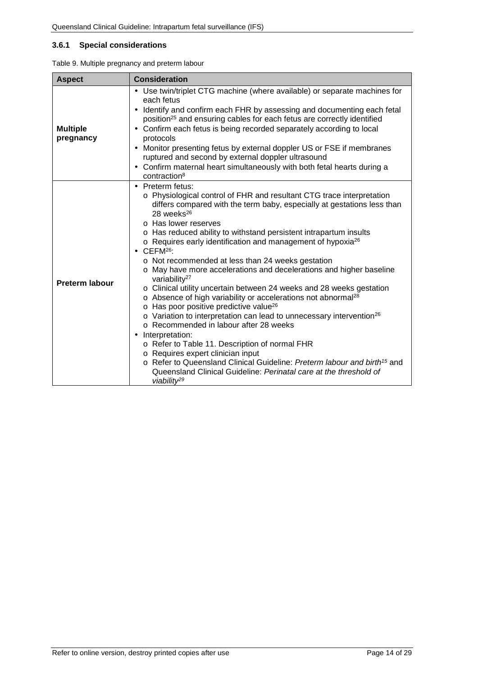#### <span id="page-13-0"></span>**3.6.1 Special considerations**

<span id="page-13-1"></span>

| <b>Aspect</b>                | <b>Consideration</b>                                                                                                                                                                                                                                                                                                                                                                                                                                                                                                                                                                                                                                                                                                                                                                                                                                                                                                                                                                                                                                                                                                                                                                                               |  |  |
|------------------------------|--------------------------------------------------------------------------------------------------------------------------------------------------------------------------------------------------------------------------------------------------------------------------------------------------------------------------------------------------------------------------------------------------------------------------------------------------------------------------------------------------------------------------------------------------------------------------------------------------------------------------------------------------------------------------------------------------------------------------------------------------------------------------------------------------------------------------------------------------------------------------------------------------------------------------------------------------------------------------------------------------------------------------------------------------------------------------------------------------------------------------------------------------------------------------------------------------------------------|--|--|
| <b>Multiple</b><br>pregnancy | Use twin/triplet CTG machine (where available) or separate machines for<br>$\blacksquare$<br>each fetus<br>Identify and confirm each FHR by assessing and documenting each fetal<br>position <sup>25</sup> and ensuring cables for each fetus are correctly identified<br>Confirm each fetus is being recorded separately according to local<br>$\blacksquare$<br>protocols<br>Monitor presenting fetus by external doppler US or FSE if membranes<br>ruptured and second by external doppler ultrasound<br>Confirm maternal heart simultaneously with both fetal hearts during a<br>contraction <sup>8</sup>                                                                                                                                                                                                                                                                                                                                                                                                                                                                                                                                                                                                      |  |  |
| <b>Preterm labour</b>        | Preterm fetus:<br>o Physiological control of FHR and resultant CTG trace interpretation<br>differs compared with the term baby, especially at gestations less than<br>28 weeks <sup>26</sup><br>o Has lower reserves<br>o Has reduced ability to withstand persistent intrapartum insults<br>o Requires early identification and management of hypoxia <sup>26</sup><br>CEFM <sup>26</sup> :<br>o Not recommended at less than 24 weeks gestation<br>o May have more accelerations and decelerations and higher baseline<br>variability <sup>27</sup><br>o Clinical utility uncertain between 24 weeks and 28 weeks gestation<br>o Absence of high variability or accelerations not abnormal <sup>28</sup><br>o Has poor positive predictive value <sup>26</sup><br>o Variation to interpretation can lead to unnecessary intervention <sup>26</sup><br>o Recommended in labour after 28 weeks<br>Interpretation:<br>$\blacksquare$<br>o Refer to Table 11. Description of normal FHR<br>o Requires expert clinician input<br>○ Refer to Queensland Clinical Guideline: Preterm labour and birth <sup>15</sup> and<br>Queensland Clinical Guideline: Perinatal care at the threshold of<br>viability <sup>29</sup> |  |  |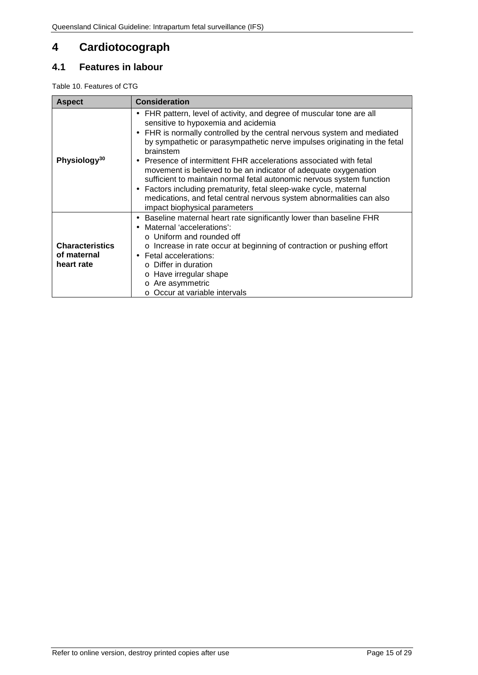# <span id="page-14-0"></span>**4 Cardiotocograph**

## <span id="page-14-1"></span>**4.1 Features in labour**

<span id="page-14-2"></span>Table 10. Features of CTG

| <b>Aspect</b>                                       | <b>Consideration</b>                                                                                                                                                                                                                                                                                                                                                                                                                                                                                                                                                                                                                                                                                                                 |  |
|-----------------------------------------------------|--------------------------------------------------------------------------------------------------------------------------------------------------------------------------------------------------------------------------------------------------------------------------------------------------------------------------------------------------------------------------------------------------------------------------------------------------------------------------------------------------------------------------------------------------------------------------------------------------------------------------------------------------------------------------------------------------------------------------------------|--|
| Physiology <sup>30</sup>                            | FHR pattern, level of activity, and degree of muscular tone are all<br>٠<br>sensitive to hypoxemia and acidemia<br>FHR is normally controlled by the central nervous system and mediated<br>$\blacksquare$<br>by sympathetic or parasympathetic nerve impulses originating in the fetal<br>brainstem<br>Presence of intermittent FHR accelerations associated with fetal<br>$\blacksquare$<br>movement is believed to be an indicator of adequate oxygenation<br>sufficient to maintain normal fetal autonomic nervous system function<br>Factors including prematurity, fetal sleep-wake cycle, maternal<br>$\blacksquare$<br>medications, and fetal central nervous system abnormalities can also<br>impact biophysical parameters |  |
| <b>Characteristics</b><br>of maternal<br>heart rate | Baseline maternal heart rate significantly lower than baseline FHR<br>$\blacksquare$<br>Maternal 'accelerations':<br>$\blacksquare$<br>$\circ$ Uniform and rounded off<br>o Increase in rate occur at beginning of contraction or pushing effort<br>Fetal accelerations:<br>$\blacksquare$<br>$\circ$ Differ in duration<br>o Have irregular shape<br>Are asymmetric<br>$\circ$<br>○ Occur at variable intervals                                                                                                                                                                                                                                                                                                                     |  |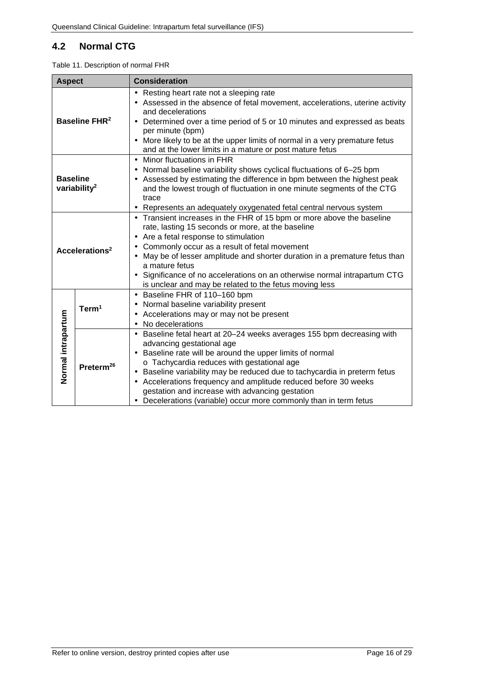# <span id="page-15-0"></span>**4.2 Normal CTG**

<span id="page-15-1"></span>

|                                 | <b>Aspect</b><br><b>Consideration</b>                                                                                                                                                                                                                                                                                                                                                                   |                                                                                                                                                                                                                                                                                                                                                                                                                                                                                   |  |
|---------------------------------|---------------------------------------------------------------------------------------------------------------------------------------------------------------------------------------------------------------------------------------------------------------------------------------------------------------------------------------------------------------------------------------------------------|-----------------------------------------------------------------------------------------------------------------------------------------------------------------------------------------------------------------------------------------------------------------------------------------------------------------------------------------------------------------------------------------------------------------------------------------------------------------------------------|--|
| <b>Baseline FHR<sup>2</sup></b> |                                                                                                                                                                                                                                                                                                                                                                                                         | Resting heart rate not a sleeping rate<br>Assessed in the absence of fetal movement, accelerations, uterine activity<br>and decelerations<br>Determined over a time period of 5 or 10 minutes and expressed as beats<br>per minute (bpm)<br>More likely to be at the upper limits of normal in a very premature fetus<br>and at the lower limits in a mature or post mature fetus                                                                                                 |  |
|                                 | Minor fluctuations in FHR<br>Ĭ.<br>Normal baseline variability shows cyclical fluctuations of 6-25 bpm<br>$\blacksquare$<br><b>Baseline</b><br>Assessed by estimating the difference in bpm between the highest peak<br>variability <sup>2</sup><br>and the lowest trough of fluctuation in one minute segments of the CTG<br>trace<br>Represents an adequately oxygenated fetal central nervous system |                                                                                                                                                                                                                                                                                                                                                                                                                                                                                   |  |
| Accelerations <sup>2</sup>      |                                                                                                                                                                                                                                                                                                                                                                                                         | Transient increases in the FHR of 15 bpm or more above the baseline<br>$\blacksquare$<br>rate, lasting 15 seconds or more, at the baseline<br>Are a fetal response to stimulation<br>Commonly occur as a result of fetal movement<br>May be of lesser amplitude and shorter duration in a premature fetus than<br>a mature fetus<br>Significance of no accelerations on an otherwise normal intrapartum CTG<br>is unclear and may be related to the fetus moving less             |  |
| Normal intrapartum              | Term <sup>1</sup>                                                                                                                                                                                                                                                                                                                                                                                       | Baseline FHR of 110-160 bpm<br>$\blacksquare$<br>Normal baseline variability present<br>Accelerations may or may not be present<br>No decelerations                                                                                                                                                                                                                                                                                                                               |  |
|                                 | Preterm <sup>26</sup>                                                                                                                                                                                                                                                                                                                                                                                   | Baseline fetal heart at 20-24 weeks averages 155 bpm decreasing with<br>advancing gestational age<br>Baseline rate will be around the upper limits of normal<br>o Tachycardia reduces with gestational age<br>Baseline variability may be reduced due to tachycardia in preterm fetus<br>Accelerations frequency and amplitude reduced before 30 weeks<br>٠<br>gestation and increase with advancing gestation<br>Decelerations (variable) occur more commonly than in term fetus |  |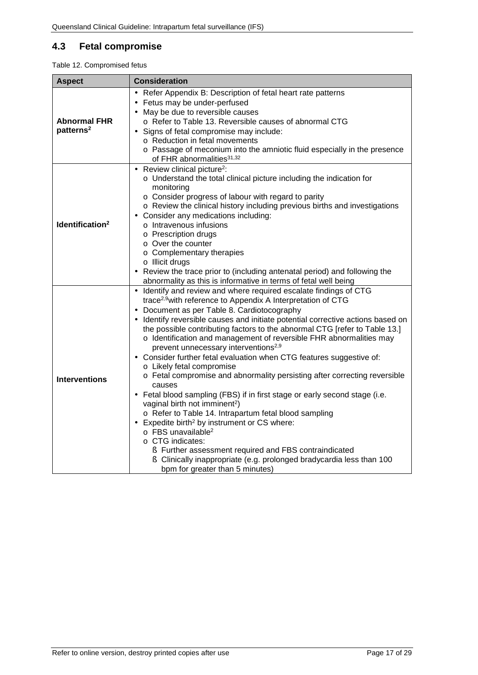# <span id="page-16-0"></span>**4.3 Fetal compromise**

<span id="page-16-1"></span>

| <b>Aspect</b>                                | <b>Consideration</b>                                                                                                                                                                                                                                                                                                                                                                                                                                                                                                                                                                                                                                                                                                                                                                                                                                                                                                                                                                                                                                                                                                                                                      |  |
|----------------------------------------------|---------------------------------------------------------------------------------------------------------------------------------------------------------------------------------------------------------------------------------------------------------------------------------------------------------------------------------------------------------------------------------------------------------------------------------------------------------------------------------------------------------------------------------------------------------------------------------------------------------------------------------------------------------------------------------------------------------------------------------------------------------------------------------------------------------------------------------------------------------------------------------------------------------------------------------------------------------------------------------------------------------------------------------------------------------------------------------------------------------------------------------------------------------------------------|--|
| <b>Abnormal FHR</b><br>patterns <sup>2</sup> | Refer Appendix B: Description of fetal heart rate patterns<br>Fetus may be under-perfused<br>May be due to reversible causes<br>o Refer to Table 13. Reversible causes of abnormal CTG<br>Signs of fetal compromise may include:<br>o Reduction in fetal movements<br>o Passage of meconium into the amniotic fluid especially in the presence<br>of FHR abnormalities <sup>31,32</sup>                                                                                                                                                                                                                                                                                                                                                                                                                                                                                                                                                                                                                                                                                                                                                                                   |  |
| Identification <sup>2</sup>                  | Review clinical picture <sup>2</sup> :<br>$\blacksquare$<br>o Understand the total clinical picture including the indication for<br>monitoring<br>o Consider progress of labour with regard to parity<br>o Review the clinical history including previous births and investigations<br>Consider any medications including:<br>o Intravenous infusions<br>o Prescription drugs<br>o Over the counter<br>o Complementary therapies<br>o Illicit drugs<br>Review the trace prior to (including antenatal period) and following the<br>abnormality as this is informative in terms of fetal well being                                                                                                                                                                                                                                                                                                                                                                                                                                                                                                                                                                        |  |
| <b>Interventions</b>                         | Identify and review and where required escalate findings of CTG<br>trace <sup>2,9</sup> with reference to Appendix A Interpretation of CTG<br>Document as per Table 8. Cardiotocography<br>Identify reversible causes and initiate potential corrective actions based on<br>the possible contributing factors to the abnormal CTG [refer to Table 13.]<br>o Identification and management of reversible FHR abnormalities may<br>prevent unnecessary interventions <sup>2,9</sup><br>Consider further fetal evaluation when CTG features suggestive of:<br>$\blacksquare$<br>o Likely fetal compromise<br>o Fetal compromise and abnormality persisting after correcting reversible<br>causes<br>Fetal blood sampling (FBS) if in first stage or early second stage (i.e.<br>vaginal birth not imminent <sup>2</sup> )<br>o Refer to Table 14. Intrapartum fetal blood sampling<br>Expedite birth <sup>2</sup> by instrument or CS where:<br>$\circ$ FBS unavailable <sup>2</sup><br>o CTG indicates:<br>S Further assessment required and FBS contraindicated<br>S Clinically inappropriate (e.g. prolonged bradycardia less than 100<br>bpm for greater than 5 minutes) |  |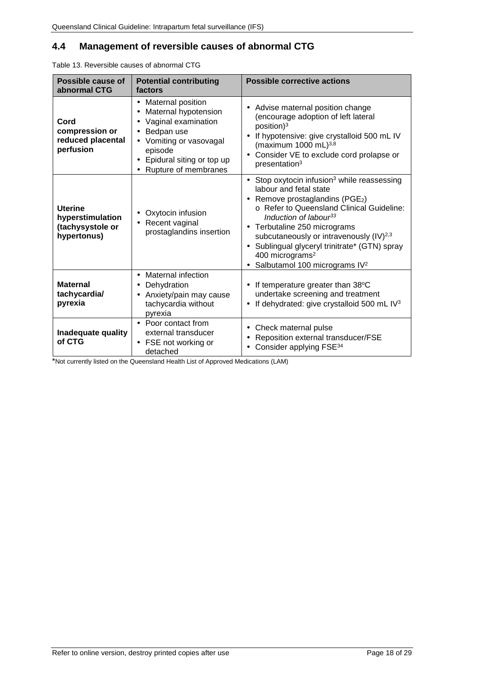# <span id="page-17-0"></span>**4.4 Management of reversible causes of abnormal CTG**

<span id="page-17-1"></span>

| Table 13. Reversible causes of abnormal CTG                           |                                                                                                                                                                               |                                                                                                                                                                                                                                                                                                                                                                                                                                                 |  |
|-----------------------------------------------------------------------|-------------------------------------------------------------------------------------------------------------------------------------------------------------------------------|-------------------------------------------------------------------------------------------------------------------------------------------------------------------------------------------------------------------------------------------------------------------------------------------------------------------------------------------------------------------------------------------------------------------------------------------------|--|
| Possible cause of<br>abnormal CTG                                     | <b>Potential contributing</b><br>factors                                                                                                                                      | <b>Possible corrective actions</b>                                                                                                                                                                                                                                                                                                                                                                                                              |  |
| Cord<br>compression or<br>reduced placental<br>perfusion              | Maternal position<br>×.<br>Maternal hypotension<br>Vaginal examination<br>Bedpan use<br>Vomiting or vasovagal<br>episode<br>Epidural siting or top up<br>Rupture of membranes | Advise maternal position change<br>(encourage adoption of left lateral<br>$position$ <sup>3</sup><br>If hypotensive: give crystalloid 500 mL IV<br>(maximum 1000 mL) $^{3,8}$<br>Consider VE to exclude cord prolapse or<br>presentation <sup>3</sup>                                                                                                                                                                                           |  |
| <b>Uterine</b><br>hyperstimulation<br>(tachysystole or<br>hypertonus) | Oxytocin infusion<br>Recent vaginal<br>prostaglandins insertion                                                                                                               | Stop oxytocin infusion <sup>3</sup> while reassessing<br>×,<br>labour and fetal state<br>Remove prostaglandins (PGE <sub>2</sub> )<br>×,<br>o Refer to Queensland Clinical Guideline:<br>Induction of labour <sup>33</sup><br>Terbutaline 250 micrograms<br>٠<br>subcutaneously or intravenously (IV) <sup>2,3</sup><br>Sublingual glyceryl trinitrate* (GTN) spray<br>400 micrograms <sup>2</sup><br>Salbutamol 100 micrograms IV <sup>2</sup> |  |
| <b>Maternal</b><br>tachycardia/<br>pyrexia                            | <b>Maternal infection</b><br>×.<br>Dehydration<br>Anxiety/pain may cause<br>tachycardia without<br>pyrexia                                                                    | If temperature greater than 38°C<br>undertake screening and treatment<br>If dehydrated: give crystalloid 500 mL IV3                                                                                                                                                                                                                                                                                                                             |  |
| Inadequate quality<br>of CTG                                          | - Poor contact from<br>external transducer<br>FSE not working or<br>dotophod                                                                                                  | Check maternal pulse<br>Reposition external transducer/FSE<br>Consider applying FSE <sup>34</sup>                                                                                                                                                                                                                                                                                                                                               |  |

\*Not currently listed on the Queensland Health List of Approved Medications (LAM)

detached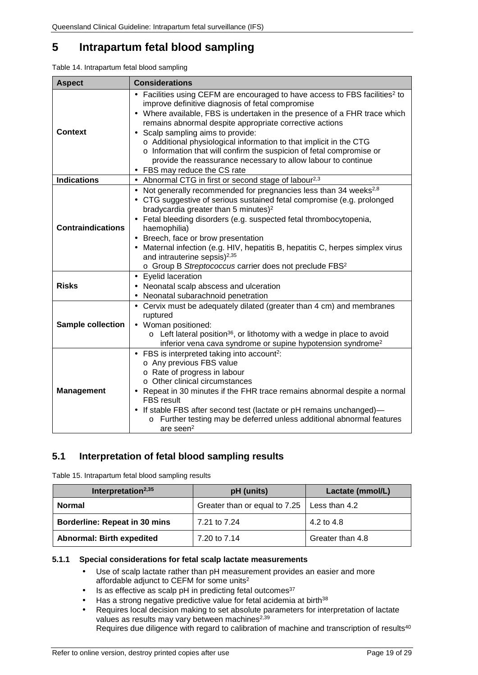# <span id="page-18-0"></span>**5 Intrapartum fetal blood sampling**

<span id="page-18-3"></span>

| <b>Aspect</b>                                                                                                                                                                                                                                                                                            | <b>Considerations</b>                                                                                                                                                                                                                                                                                                                                                                                                                                                                                                                                                                   |  |
|----------------------------------------------------------------------------------------------------------------------------------------------------------------------------------------------------------------------------------------------------------------------------------------------------------|-----------------------------------------------------------------------------------------------------------------------------------------------------------------------------------------------------------------------------------------------------------------------------------------------------------------------------------------------------------------------------------------------------------------------------------------------------------------------------------------------------------------------------------------------------------------------------------------|--|
| <b>Context</b>                                                                                                                                                                                                                                                                                           | Facilities using CEFM are encouraged to have access to FBS facilities <sup>2</sup> to<br>improve definitive diagnosis of fetal compromise<br>Where available, FBS is undertaken in the presence of a FHR trace which<br>remains abnormal despite appropriate corrective actions<br>Scalp sampling aims to provide:<br>ä,<br>o Additional physiological information to that implicit in the CTG<br>o Information that will confirm the suspicion of fetal compromise or<br>provide the reassurance necessary to allow labour to continue<br>FBS may reduce the CS rate<br>$\blacksquare$ |  |
| <b>Indications</b>                                                                                                                                                                                                                                                                                       | Abnormal CTG in first or second stage of labour <sup>2,3</sup><br>$\epsilon$                                                                                                                                                                                                                                                                                                                                                                                                                                                                                                            |  |
| <b>Contraindications</b>                                                                                                                                                                                                                                                                                 | Not generally recommended for pregnancies less than 34 weeks <sup>2,8</sup><br>¥,<br>CTG suggestive of serious sustained fetal compromise (e.g. prolonged<br>bradycardia greater than 5 minutes) <sup>2</sup><br>Fetal bleeding disorders (e.g. suspected fetal thrombocytopenia,<br>haemophilia)<br>Breech, face or brow presentation<br>Maternal infection (e.g. HIV, hepatitis B, hepatitis C, herpes simplex virus<br>and intrauterine sepsis) <sup>2,35</sup><br>o Group B Streptococcus carrier does not preclude FBS <sup>2</sup>                                                |  |
| <b>Risks</b>                                                                                                                                                                                                                                                                                             | - Eyelid laceration<br>Neonatal scalp abscess and ulceration<br>×,<br>Neonatal subarachnoid penetration                                                                                                                                                                                                                                                                                                                                                                                                                                                                                 |  |
| Cervix must be adequately dilated (greater than 4 cm) and membranes<br>ruptured<br><b>Sample collection</b><br>Woman positioned:<br>$\circ$ Left lateral position <sup>36</sup> , or lithotomy with a wedge in place to avoid<br>inferior vena cava syndrome or supine hypotension syndrome <sup>2</sup> |                                                                                                                                                                                                                                                                                                                                                                                                                                                                                                                                                                                         |  |
| <b>Management</b>                                                                                                                                                                                                                                                                                        | FBS is interpreted taking into account <sup>2</sup> :<br>ä,<br>o Any previous FBS value<br>o Rate of progress in labour<br>○ Other clinical circumstances<br>Repeat in 30 minutes if the FHR trace remains abnormal despite a normal<br><b>FBS</b> result<br>If stable FBS after second test (lactate or pH remains unchanged)-<br>Further testing may be deferred unless additional abnormal features<br>$\circ$<br>are seen <sup>2</sup>                                                                                                                                              |  |

## <span id="page-18-1"></span>**5.1 Interpretation of fetal blood sampling results**

<span id="page-18-4"></span>Table 15. Intrapartum fetal blood sampling results

| Interpretation <sup>2,35</sup>   | pH (units)                                    | Lactate (mmol/L) |
|----------------------------------|-----------------------------------------------|------------------|
| <b>Normal</b>                    | Greater than or equal to 7.25   Less than 4.2 |                  |
| Borderline: Repeat in 30 mins    | 7.21 to 7.24                                  | 4.2 to 4.8       |
| <b>Abnormal: Birth expedited</b> | 7.20 to 7.14                                  | Greater than 4.8 |

#### <span id="page-18-2"></span>**5.1.1 Special considerations for fetal scalp lactate measurements**

- Use of scalp lactate rather than pH measurement provides an easier and more J. affordable adjunct to CEFM for some units<sup>2</sup>
- Is as effective as scalp pH in predicting fetal outcomes<sup>37</sup> J.
- Has a strong negative predictive value for fetal acidemia at birth<sup>38</sup>
- Requires local decision making to set absolute parameters for interpretation of lactate values as results may vary between machines<sup>2,39</sup> Requires due diligence with regard to calibration of machine and transcription of results<sup>40</sup>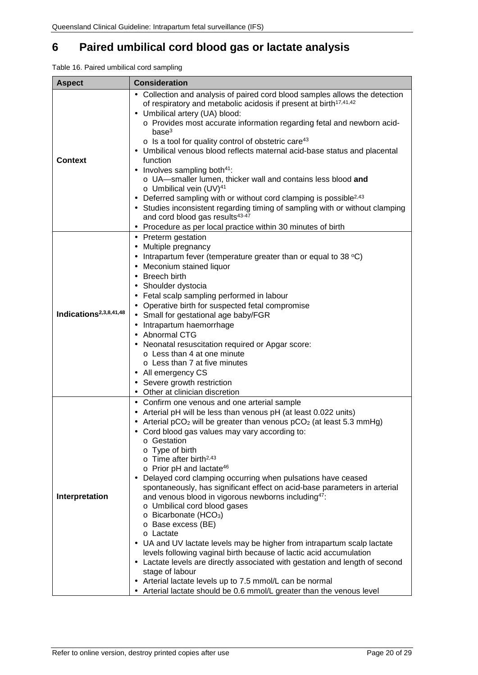# <span id="page-19-0"></span>**6 Paired umbilical cord blood gas or lactate analysis**

<span id="page-19-1"></span>

| Table 16. Paired umbilical cord sampling |  |  |  |
|------------------------------------------|--|--|--|
|------------------------------------------|--|--|--|

| <b>Aspect</b>                      | <b>Consideration</b>                                                                                                                                                                                                                                                                                                                                                                                                                                                                                                                                                                                                                                                                                                                                                                                                                                                                                                                                                                                                                                                                                           |  |  |  |
|------------------------------------|----------------------------------------------------------------------------------------------------------------------------------------------------------------------------------------------------------------------------------------------------------------------------------------------------------------------------------------------------------------------------------------------------------------------------------------------------------------------------------------------------------------------------------------------------------------------------------------------------------------------------------------------------------------------------------------------------------------------------------------------------------------------------------------------------------------------------------------------------------------------------------------------------------------------------------------------------------------------------------------------------------------------------------------------------------------------------------------------------------------|--|--|--|
| <b>Context</b>                     | Collection and analysis of paired cord blood samples allows the detection<br>of respiratory and metabolic acidosis if present at birth <sup>17,41,42</sup><br>Umbilical artery (UA) blood:<br>$\blacksquare$<br>o Provides most accurate information regarding fetal and newborn acid-<br>base <sup>3</sup><br>$\circ$ Is a tool for quality control of obstetric care <sup>43</sup><br>Umbilical venous blood reflects maternal acid-base status and placental<br>function<br>Involves sampling both <sup>41</sup> :<br>o UA-smaller lumen, thicker wall and contains less blood and<br>o Umbilical vein (UV) <sup>41</sup><br>Deferred sampling with or without cord clamping is possible <sup>2,43</sup><br>Studies inconsistent regarding timing of sampling with or without clamping<br>and cord blood gas results <sup>43-47</sup><br>Procedure as per local practice within 30 minutes of birth                                                                                                                                                                                                         |  |  |  |
| Indications <sup>2,3,8,41,48</sup> | Preterm gestation<br>Multiple pregnancy<br>Intrapartum fever (temperature greater than or equal to 38 °C)<br>Meconium stained liquor<br>Breech birth<br>Shoulder dystocia<br>Fetal scalp sampling performed in labour<br>Operative birth for suspected fetal compromise<br>Small for gestational age baby/FGR<br>Intrapartum haemorrhage<br>Abnormal CTG<br>Neonatal resuscitation required or Apgar score:<br>$\blacksquare$<br>o Less than 4 at one minute<br>$\circ$ Less than 7 at five minutes<br>All emergency CS<br>٠<br>Severe growth restriction<br>Other at clinician discretion                                                                                                                                                                                                                                                                                                                                                                                                                                                                                                                     |  |  |  |
| Interpretation                     | · Confirm one venous and one arterial sample<br>Arterial pH will be less than venous pH (at least 0.022 units)<br>٠<br>Arterial $pCO2$ will be greater than venous $pCO2$ (at least 5.3 mmHg)<br>Cord blood gas values may vary according to:<br>o Gestation<br>o Type of birth<br>$\circ$ Time after birth <sup>2,43</sup><br>$\circ$ Prior pH and lactate <sup>46</sup><br>Delayed cord clamping occurring when pulsations have ceased<br>$\blacksquare$<br>spontaneously, has significant effect on acid-base parameters in arterial<br>and venous blood in vigorous newborns including <sup>47</sup> :<br>o Umbilical cord blood gases<br>$\circ$ Bicarbonate (HCO <sub>3</sub> )<br>o Base excess (BE)<br>o Lactate<br>UA and UV lactate levels may be higher from intrapartum scalp lactate<br>٠<br>levels following vaginal birth because of lactic acid accumulation<br>Lactate levels are directly associated with gestation and length of second<br>stage of labour<br>Arterial lactate levels up to 7.5 mmol/L can be normal<br>Arterial lactate should be 0.6 mmol/L greater than the venous level |  |  |  |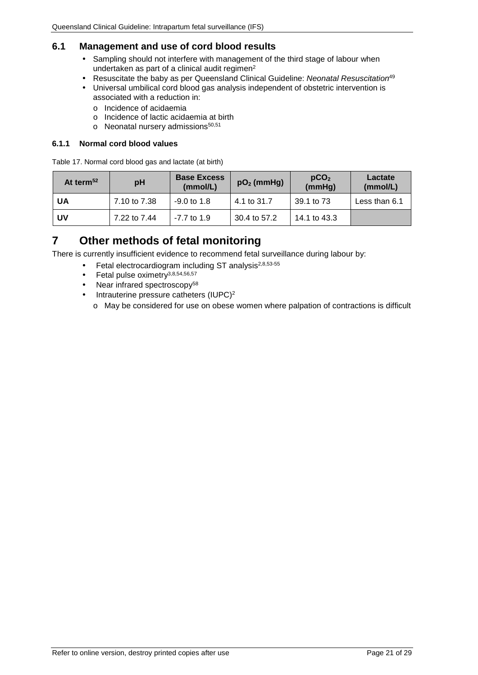## <span id="page-20-0"></span>**6.1 Management and use of cord blood results**

- Sampling should not interfere with management of the third stage of labour when undertaken as part of a clinical audit regimen<sup>2</sup>
- Resuscitate the baby as per Queensland Clinical Guideline: *Neonatal Resuscitation*<sup>49</sup>
- Universal umbilical cord blood gas analysis independent of obstetric intervention is associated with a reduction in:
	- o Incidence of acidaemia
	- o Incidence of lactic acidaemia at birth
	- o Neonatal nursery admissions<sup>50,51</sup>

#### <span id="page-20-1"></span>**6.1.1 Normal cord blood values**

<span id="page-20-3"></span>Table 17. Normal cord blood gas and lactate (at birth)

| At term <sup>52</sup> | рH           | <b>Base Excess</b><br>(mmol/L) | $pO2$ (mmHg) | pCO <sub>2</sub><br>(mmHg) | Lactate<br>(mmol/L) |
|-----------------------|--------------|--------------------------------|--------------|----------------------------|---------------------|
| UA                    | 7.10 to 7.38 | $-9.0$ to 1.8                  | 4.1 to 31.7  | 39.1 to 73                 | Less than 6.1       |
| UV                    | 7.22 to 7.44 | $-7.7$ to 1.9                  | 30.4 to 57.2 | 14.1 to 43.3               |                     |

# <span id="page-20-2"></span>**7 Other methods of fetal monitoring**

There is currently insufficient evidence to recommend fetal surveillance during labour by:

- Fetal electrocardiogram including ST analysis<sup>2,8,53-55</sup>
- Fetal pulse oximetry3,8,54,56,57
- Near infrared spectroscopy<sup>58</sup>
- Intrauterine pressure catheters (IUPC)2
	- o May be considered for use on obese women where palpation of contractions is difficult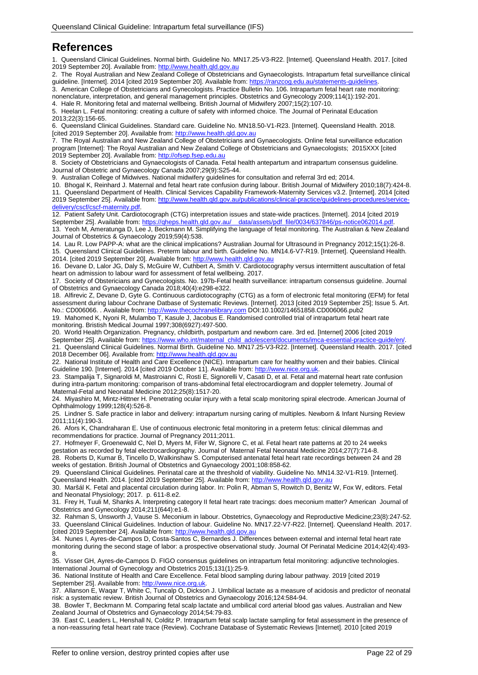# <span id="page-21-0"></span>**References**

1. Queensland Clinical Guidelines. Normal birth. Guideline No. MN17.25-V3-R22. [Internet]. Queensland Health. 2017. [cited 2019 September 20]. Available from: [http://www.health.qld.gov.au](http://www.health.qld.gov.au/)

2. The Royal Australian and New Zealand College of Obstetricians and Gynaecologists. Intrapartum fetal surveillance clinical guideline. [Internet]. 2014 [cited 2019 September 20]. Available from: https://ranzcog.edu.au/statements-guidelines

3. American College of Obstetricians and Gynecologists. Practice Bulletin No. 106. Intrapartum fetal heart rate monitoring: nonenclature, interpretation, and general management principles. Obstetrics and Gynecology 2009;114(1):192-201. 4. Hale R. Monitoring fetal and maternal wellbeing. British Journal of Midwifery 2007;15(2):107-10.

5. Heelan L. Fetal monitoring: creating a culture of safety with informed choice. The Journal of Perinatal Education 2013;22(3):156-65.

6. Queensland Clinical Guidelines. Standard care. Guideline No. MN18.50-V1-R23. [Internet]. Queensland Health. 2018. [cited 2019 September 20]. Available from[: http://www.health.qld.gov.au](http://www.health.qld.gov.au/)

7. The Royal Australian and New Zealand College of Obstetricians and Gynaecologists. Online fetal surveillance education program [Internet]: The Royal Australian and New Zealand College of Obstetricians and Gynaecologists; 2015XXX [cited 2019 September 20]. Available from: [http://ofsep.fsep.edu.au](http://ofsep.fsep.edu.au/)

8. Society of Obstetricians and Gynaecologists of Canada. Fetal health antepartum and intrapartum consensus guideline. Journal of Obstetric and Gynaecology Canada 2007;29(9):S25-44.

9. Australian College of Midwives. National midwifery guidelines for consultation and referral 3rd ed; 2014.

10. Bhogal K, Reinhard J. Maternal and fetal heart rate confusion during labour. British Journal of Midwifery 2010;18(7):424-8. 11. Queensland Department of Health. Clinical Services Capability Framework-Maternity Services v3.2. [Internet]. 2014 [cited 2019 September 25]. Available from: [http://www.health.qld.gov.au/publications/clinical-practice/guidelines-procedures/service](http://www.health.qld.gov.au/publications/clinical-practice/guidelines-procedures/service-delivery/cscf/cscf-maternity.pdf)[delivery/cscf/cscf-maternity.pdf.](http://www.health.qld.gov.au/publications/clinical-practice/guidelines-procedures/service-delivery/cscf/cscf-maternity.pdf)

12. Patient Safety Unit. Cardiotocograph (CTG) interpretation issues and state-wide practices. [Internet]. 2014 [cited 2019 September 25]. Available from: https://qheps.health.qld.gov.au/ data/assets/pdf\_file/0034/637846/ps-notice062014.pdf

13. Yeoh M, Ameratunga D, Lee J, Beckmann M. Simplifying the language of fetal monitoring. The Australian & New Zealand Journal of Obstetrics & Gynaecology 2019;59(4):538.

14. Lau R. Low PAPP-A: what are the clinical implications? Australian Journal for Ultrasound in Pregnancy 2012;15(1):26-8. 15. Queensland Clinical Guidelines. Preterm labour and birth. Guideline No. MN14.6-V7-R19. [Internet]. Queensland Health. 2014. [cited 2019 September 20]. Available from[: http://www.health.qld.gov.au](http://www.health.qld.gov.au/)

16. Devane D, Lalor JG, Daly S, McGuire W, Cuthbert A, Smith V. Cardiotocography versus intermittent auscultation of fetal heart on admission to labour ward for assessment of fetal wellbeing. 2017.

17. Society of Obstericians and Gynecologists. No. 197b-Fetal health surveillance: intrapartum consensus guideline. Journal of Obstetrics and Gynaecology Canada 2018;40(4):e298-e322.

18. Alfirevic Z, Devane D, Gyte G. Continuous cardiotocography (CTG) as a form of electronic fetal monitoring (EFM) for fetal assessment during labour Cochrane Datbase of Systematic Reviews. [Internet]. 2013 [cited 2019 September 25]; Issue 5. Art. No.: CD006066. . Available from: [http://www.thecochranelibrary.com](http://www.thecochranelibrary.com/) DOI:10.1002/14651858.CD006066.pub2

19. Mahomed K, Nyoni R, Mulambo T, Kasule J, Jacobus E. Randomised controlled trial of intrapartum fetal heart rate monitoring. Bristish Medical Journal 1997;308(6927):497-500.

20. World Health Organization. Pregnancy, childbirth, postpartum and newborn care. 3rd ed. [Internet] 2006 [cited 2019 September 25]. Available from: [https://www.who.int/maternal\\_child\\_adolescent/documents/imca-essential-practice-guide/en/.](https://www.who.int/maternal_child_adolescent/documents/imca-essential-practice-guide/en/) 21. Queensland Clinical Guidelines. Normal Birth. Guideline No. MN17.25-V3-R22. [Internet]. Queensland Health. 2017. [cited

2018 December 06]. Available from[: http://www.health.qld.gov.au](http://www.health.qld.gov.au/)

22. National Institute of Health and Care Excellence (NICE). Intrapartum care for healthy women and their babies. Clinical Guideline 190. [Internet]. 2014 [cited 2019 October 11]. Available from[: http://www.nice.org.uk.](http://www.nice.org.uk/)

23. Stampalija T, Signaroldi M, Mastroianni C, Rosti E, Signorelli V, Casati D, et al. Fetal and maternal heart rate confusion during intra-partum monitoring: comparison of trans-abdominal fetal electrocardiogram and doppler telemetry. Journal of Maternal-Fetal and Neonatal Medicine 2012;25(8):1517-20.

24. Miyashiro M, Mintz-Hittner H. Penetrating ocular injury with a fetal scalp monitoring spiral electrode. American Journal of Ophthalmology 1999;128(4):526-8.

25. Lindner S. Safe practice in labor and delivery: intrapartum nursing caring of multiples. Newborn & Infant Nursing Review 2011;11(4):190-3.

26. Afors K, Chandraharan E. Use of continuous electronic fetal monitoring in a preterm fetus: clinical dilemmas and recommendations for practice. Journal of Pregnancy 2011;2011.

27. Hofmeyer F, Groenewald C, Nel D, Myers M, Fifer W, Signore C, et al. Fetal heart rate patterns at 20 to 24 weeks gestation as recorded by fetal electrocardiography. Journal of Maternal Fetal Neonatal Medicine 2014;27(7):714-8.

28. Roberts D, Kumar B, Tincello D, Walkinshaw S. Computerised antenatal fetal heart rate recordings between 24 and 28 weeks of gestation. British Journal of Obstetrics and Gynaecology 2001;108:858-62.

29. Queensland Clinical Guidelines. Perinatal care at the threshold of viability. Guideline No. MN14.32-V1-R19. [Internet]. Queensland Health. 2014. [cited 2019 September 25]. Available from[: http://www.health.qld.gov.au](http://www.health.qld.gov.au/)

30. Maršál K. Fetal and placental circulation during labor. In: Polin R, Abman S, Rowitch D, Benitz W, Fox W, editors. Fetal and Neonatal Physiology; 2017. p. 611-8.e2.

31. Frey H, Tuuli M, Shanks A. Interpreting category II fetal heart rate tracings: does meconium matter? American Journal of Obstetrics and Gynecology 2014;211(644):e1-8.

32. Rahman S, Unsworth J, Vause S. Meconium in labour. Obstetrics, Gynaecology and Reproductive Medicine;23(8):247-52. 33. Queensland Clinical Guidelines. Induction of labour. Guideline No. MN17.22-V7-R22. [Internet]. Queensland Health. 2017. [cited 2019 September 24]. Available from[: http://www.health.qld.gov.au](http://www.health.qld.gov.au/)

34. Nunes I, Ayres-de-Campos D, Costa-Santos C, Bernardes J. Differences between external and internal fetal heart rate monitoring during the second stage of labor: a prospective observational study. Journal Of Perinatal Medicine 2014;42(4):493- 8.

35. Visser GH, Ayres-de-Campos D. FIGO consensus guidelines on intrapartum fetal monitoring: adjunctive technologies. International Journal of Gynecology and Obstetrics 2015;131(1):25-9.

36. National Institute of Health and Care Excellence. Fetal blood sampling during labour pathway. 2019 [cited 2019 September 25]. Available from: [http://www.nice.org.uk.](http://www.nice.org.uk/)

37. Allanson E, Waqar T, White C, Tuncalp O, Dickson J. Umbilical lactate as a measure of acidosis and predictor of neonatal risk: a systematic review. British Journal of Obstetrics and Gynaecology 2016;124:584-94.

38. Bowler T, Beckmann M. Comparing fetal scalp lactate and umbilical cord arterial blood gas values. Australian and New Zealand Journal of Obstetrics and Gynaecology 2014;54:79-83.

39. East C, Leaders L, Henshall N, Colditz P. Intrapartum fetal scalp lactate sampling for fetal assessment in the presence of a non-reassuring fetal heart rate trace (Review). Cochrane Database of Systematic Reviews [Internet]. 2010 [cited 2019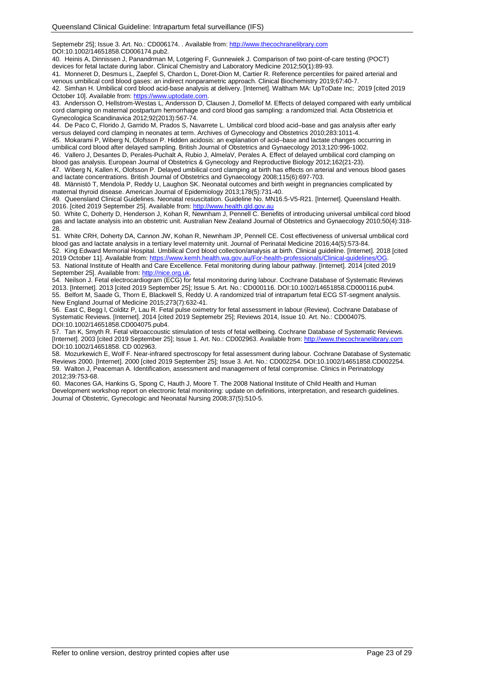Septemebr 25]; Issue 3. Art. No.: CD006174. . Available from: [http://www.thecochranelibrary.com](http://www.thecochranelibrary.com/) DOI:10.1002/14651858.CD006174.pub2.

40. Heinis A, Dinnissen J, Panandrman M, Lotgering F, Gunnewiek J. Comparison of two point-of-care testing (POCT) devices for fetal lactate during labor. Clinical Chemistry and Laboratory Medicine 2012;50(1):89-93.

41. Monneret D, Desmurs L, Zaepfel S, Chardon L, Doret-Dion M, Cartier R. Reference percentiles for paired arterial and venous umbilical cord blood gases: an indirect nonparametric approach. Clinical Biochemistry 2019;67:40-7.

42. Simhan H. Umbilical cord blood acid-base analysis at delivery. [Internet]. Waltham MA: UpToDate Inc; 2019 [cited 2019 October 10]. Available from[: https://www.uptodate.com.](https://www.uptodate.com/)

43. Andersson O, Hellstrom-Westas L, Andersson D, Clausen J, Domellof M. Effects of delayed compared with early umbilical cord clamping on maternal postpartum hemorrhage and cord blood gas sampling: a randomized trial. Acta Obstetricia et Gynecologica Scandinavica 2012;92(2013):567-74.

44. De Paco C, Florido J, Garrido M, Prados S, Navarrete L. Umbilical cord blood acid–base and gas analysis after early versus delayed cord clamping in neonates at term. Archives of Gynecology and Obstetrics 2010;283:1011-4.

45. Mokarami P, Wiberg N, Olofsson P. Hidden acidosis: an explanation of acid–base and lactate changes occurring in umbilical cord blood after delayed sampling. British Journal of Obstetrics and Gynaecology 2013;120:996-1002.

46. Vallero J, Desantes D, Perales-Puchalt A, Rubio J, AlmelaV, Perales A. Effect of delayed umbilical cord clamping on blood gas analysis. European Journal of Obstetrics & Gynecology and Reproductive Biology 2012;162(21-23).

47. Wiberg N, Kallen K, Olofsson P. Delayed umbilical cord clamping at birth has effects on arterial and venous blood gases and lactate concentrations. British Journal of Obstetrics and Gynaecology 2008;115(6):697-703.

48. Männistö T, Mendola P, Reddy U, Laughon SK. Neonatal outcomes and birth weight in pregnancies complicated by maternal thyroid disease. American Journal of Epidemiology 2013;178(5):731-40.

49. Queensland Clinical Guidelines. Neonatal resuscitation. Guideline No. MN16.5-V5-R21. [Internet]. Queensland Health. 2016. [cited 2019 September 25]. Available from[: http://www.health.qld.gov.au](http://www.health.qld.gov.au/)

50. White C, Doherty D, Henderson J, Kohan R, Newnham J, Pennell C. Benefits of introducing universal umbilical cord blood gas and lactate analysis into an obstetric unit. Australian New Zealand Journal of Obstetrics and Gynaecology 2010;50(4):318- 28.

51. White CRH, Doherty DA, Cannon JW, Kohan R, Newnham JP, Pennell CE. Cost effectiveness of universal umbilical cord blood gas and lactate analysis in a tertiary level maternity unit. Journal of Perinatal Medicine 2016;44(5):573-84.

52. King Edward Memorial Hospital. Umbilical Cord blood collection/analysis at birth. Clinical guideline. [Internet]. 2018 [cited 2019 October 11]. Available from: https://www.kemh.health.wa.gov.au/For-health-professionals/Clinical-guidelines/OG 53. National Institute of Health and Care Excellence. Fetal monitoring during labour pathway. [Internet]. 2014 [cited 2019 September 25]. Available from: [http://nice.org.uk.](http://nice.org.uk/)

54. Neilson J. Fetal electrocardiogram (ECG) for fetal monitoring during labour. Cochrane Database of Systematic Reviews 2013. [Internet]. 2013 [cited 2019 September 25]; Issue 5. Art. No.: CD000116. DOI:10.1002/14651858.CD000116.pub4. 55. Belfort M, Saade G, Thorn E, Blackwell S, Reddy U. A randomized trial of intrapartum fetal ECG ST-segment analysis. New England Journal of Medicine 2015;273(7):632-41.

56. East C, Begg l, Colditz P, Lau R. Fetal pulse oximetry for fetal assessment in labour (Review). Cochrane Database of Systematic Reviews. [Internet]. 2014 [cited 2019 Septemebr 25]; Reviews 2014, Issue 10. Art. No.: CD004075. DOI:10.1002/14651858.CD004075.pub4.

57. Tan K, Smyth R. Fetal vibroaccoustic stimulation of tests of fetal wellbeing. Cochrane Database of Systematic Reviews. [Internet]. 2003 [cited 2019 September 25]; Issue 1. Art. No.: CD002963. Available from: [http://www.thecochranelibrary.com](http://www.thecochranelibrary.com/) DOI:10.1002/14651858. CD 002963.

58. Mozurkewich E, Wolf F. Near-infrared spectroscopy for fetal assessment during labour. Cochrane Database of Systematic Reviews 2000. [Internet]. 2000 [cited 2019 September 25]; Issue 3. Art. No.: CD002254. DOI:10.1002/14651858.CD002254. 59. Walton J, Peaceman A. Identification, assessment and management of fetal compromise. Clinics in Perinatology 2012;39:753-68.

60. Macones GA, Hankins G, Spong C, Hauth J, Moore T. The 2008 National Institute of Child Health and Human Development workshop report on electronic fetal monitoring: update on definitions, interpretation, and research guidelines. Journal of Obstetric, Gynecologic and Neonatal Nursing 2008;37(5):510-5.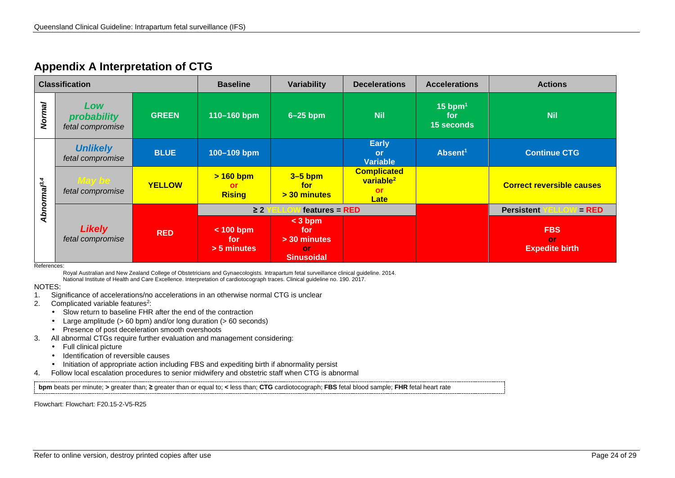# **Appendix A Interpretation of CTG**

|                         | <b>Classification</b>                  |               | <b>Baseline</b>                      | Variability                                                 | <b>Decelerations</b>                                             | <b>Accelerations</b>                       | <b>Actions</b>                            |
|-------------------------|----------------------------------------|---------------|--------------------------------------|-------------------------------------------------------------|------------------------------------------------------------------|--------------------------------------------|-------------------------------------------|
| Normal                  | Low<br>probability<br>fetal compromise | <b>GREEN</b>  | 110-160 bpm                          | $6-25$ bpm                                                  | <b>Nil</b>                                                       | $15$ bpm <sup>1</sup><br>for<br>15 seconds | <b>Nil</b>                                |
|                         | <b>Unlikely</b><br>fetal compromise    | <b>BLUE</b>   | 100-109 bpm                          |                                                             | <b>Early</b><br>or<br><b>Variable</b>                            | Absent <sup>1</sup>                        | <b>Continue CTG</b>                       |
| Abnormal <sup>3,4</sup> | <b>Way be</b><br>fetal compromise      | <b>YELLOW</b> | $> 160$ bpm<br>or<br><b>Rising</b>   | $3-5$ bpm<br>for<br>$>$ 30 minutes                          | <b>Complicated</b><br>variable <sup>2</sup><br>or<br><b>Late</b> |                                            | <b>Correct reversible causes</b>          |
|                         |                                        |               | $\geq$ 2                             | $features = RED$                                            |                                                                  |                                            | <b>Persistent</b><br>$=$ RED              |
|                         | <b>Likely</b><br>fetal compromise      | <b>RED</b>    | $< 100$ bpm<br>for.<br>$> 5$ minutes | $<$ 3 bpm<br>for<br>> 30 minutes<br>or<br><b>Sinusoidal</b> |                                                                  |                                            | <b>FBS</b><br>or<br><b>Expedite birth</b> |

<span id="page-23-0"></span>References:

Royal Australian and New Zealand College of Obstetricians and Gynaecologists. Intrapartum fetal surveillance clinical guideline. 2014.

National Institute of Health and Care Excellence. Interpretation of cardiotocograph traces. Clinical guideline no. 190. 2017.

NOTES:

- 1. Significance of accelerations/no accelerations in an otherwise normal CTG is unclear<br>2. Complicated variable features<sup>2</sup>:
- Complicated variable features<sup>2</sup>:
	- Slow return to baseline FHR after the end of the contraction
	- Large amplitude (> 60 bpm) and/or long duration (> 60 seconds)
	- Presence of post deceleration smooth overshoots
- 3. All abnormal CTGs require further evaluation and management considering:
	- Full clinical picture
	- $\cdot$  Identification of reversible causes
	- Initiation of appropriate action including FBS and expediting birth if abnormality persist
- 4. Follow local escalation procedures to senior midwifery and obstetric staff when CTG is abnormal

**bpm** beats per minute; **>** greater than; **≥** greater than or equal to; **<** less than; **CTG** cardiotocograph; **FBS** fetal blood sample; **FHR** fetal heart rate

Flowchart: Flowchart: F20.15-2-V5-R25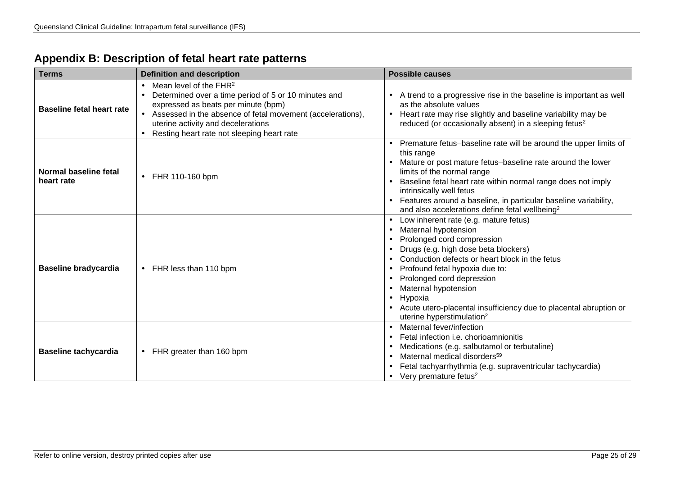|  | Appendix B: Description of fetal heart rate patterns |  |  |  |
|--|------------------------------------------------------|--|--|--|
|--|------------------------------------------------------|--|--|--|

<span id="page-24-0"></span>

| <b>Terms</b>                        | <b>Definition and description</b>                                                                                                                                                                                                                                         | <b>Possible causes</b>                                                                                                                                                                                                                                                                                                                                                                                  |
|-------------------------------------|---------------------------------------------------------------------------------------------------------------------------------------------------------------------------------------------------------------------------------------------------------------------------|---------------------------------------------------------------------------------------------------------------------------------------------------------------------------------------------------------------------------------------------------------------------------------------------------------------------------------------------------------------------------------------------------------|
| <b>Baseline fetal heart rate</b>    | Mean level of the $FHR2$<br>Determined over a time period of 5 or 10 minutes and<br>expressed as beats per minute (bpm)<br>Assessed in the absence of fetal movement (accelerations),<br>uterine activity and decelerations<br>Resting heart rate not sleeping heart rate | A trend to a progressive rise in the baseline is important as well<br>as the absolute values<br>Heart rate may rise slightly and baseline variability may be<br>reduced (or occasionally absent) in a sleeping fetus <sup>2</sup>                                                                                                                                                                       |
| Normal baseline fetal<br>heart rate | FHR 110-160 bpm                                                                                                                                                                                                                                                           | Premature fetus-baseline rate will be around the upper limits of<br>this range<br>Mature or post mature fetus-baseline rate around the lower<br>limits of the normal range<br>Baseline fetal heart rate within normal range does not imply<br>intrinsically well fetus<br>Features around a baseline, in particular baseline variability,<br>and also accelerations define fetal wellbeing <sup>2</sup> |
| <b>Baseline bradycardia</b>         | FHR less than 110 bpm                                                                                                                                                                                                                                                     | Low inherent rate (e.g. mature fetus)<br>Maternal hypotension<br>Prolonged cord compression<br>Drugs (e.g. high dose beta blockers)<br>Conduction defects or heart block in the fetus<br>Profound fetal hypoxia due to:<br>Prolonged cord depression<br>Maternal hypotension<br>Hypoxia<br>Acute utero-placental insufficiency due to placental abruption or<br>uterine hyperstimulation <sup>2</sup>   |
| <b>Baseline tachycardia</b>         | FHR greater than 160 bpm                                                                                                                                                                                                                                                  | Maternal fever/infection<br>Fetal infection <i>i.e.</i> chorioamnionitis<br>Medications (e.g. salbutamol or terbutaline)<br>Maternal medical disorders <sup>59</sup><br>Fetal tachyarrhythmia (e.g. supraventricular tachycardia)<br>Very premature fetus <sup>2</sup>                                                                                                                                  |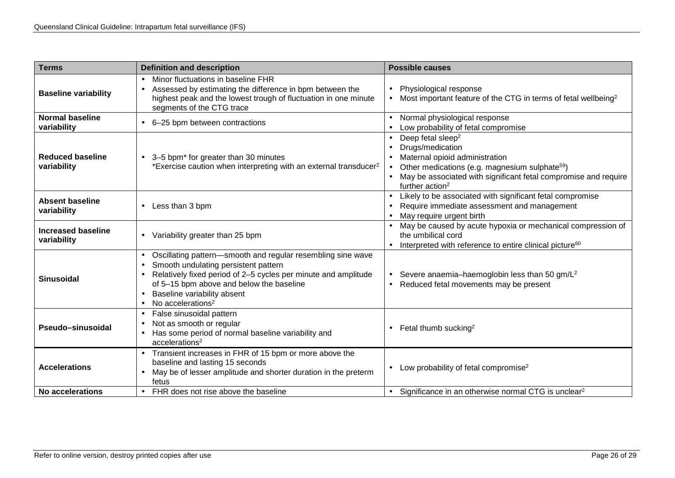| <b>Terms</b>                             | <b>Definition and description</b>                                                                                                                                                                                                                                                 | <b>Possible causes</b>                                                                                                                                                                                                                              |
|------------------------------------------|-----------------------------------------------------------------------------------------------------------------------------------------------------------------------------------------------------------------------------------------------------------------------------------|-----------------------------------------------------------------------------------------------------------------------------------------------------------------------------------------------------------------------------------------------------|
| <b>Baseline variability</b>              | Minor fluctuations in baseline FHR<br>Assessed by estimating the difference in bpm between the<br>highest peak and the lowest trough of fluctuation in one minute<br>segments of the CTG trace                                                                                    | Physiological response<br>Most important feature of the CTG in terms of fetal wellbeing <sup>2</sup>                                                                                                                                                |
| <b>Normal baseline</b><br>variability    | 6-25 bpm between contractions                                                                                                                                                                                                                                                     | Normal physiological response<br>Low probability of fetal compromise                                                                                                                                                                                |
| <b>Reduced baseline</b><br>variability   | 3-5 bpm* for greater than 30 minutes<br>*Exercise caution when interpreting with an external transducer <sup>2</sup>                                                                                                                                                              | Deep fetal sleep <sup>2</sup><br>Drugs/medication<br>Maternal opioid administration<br>Other medications (e.g. magnesium sulphate <sup>59</sup> )<br>May be associated with significant fetal compromise and require<br>further action <sup>2</sup> |
| <b>Absent baseline</b><br>variability    | Less than 3 bpm                                                                                                                                                                                                                                                                   | Likely to be associated with significant fetal compromise<br>Require immediate assessment and management<br>May require urgent birth                                                                                                                |
| <b>Increased baseline</b><br>variability | Variability greater than 25 bpm                                                                                                                                                                                                                                                   | May be caused by acute hypoxia or mechanical compression of<br>the umbilical cord<br>Interpreted with reference to entire clinical picture <sup>60</sup>                                                                                            |
| <b>Sinusoidal</b>                        | Oscillating pattern-smooth and regular resembling sine wave<br>Smooth undulating persistent pattern<br>Relatively fixed period of 2-5 cycles per minute and amplitude<br>of 5-15 bpm above and below the baseline<br>Baseline variability absent<br>No accelerations <sup>2</sup> | Severe anaemia-haemoglobin less than 50 gm/L <sup>2</sup><br>Reduced fetal movements may be present                                                                                                                                                 |
| Pseudo-sinusoidal                        | False sinusoidal pattern<br>Not as smooth or regular<br>Has some period of normal baseline variability and<br>accelerations <sup>2</sup>                                                                                                                                          | Fetal thumb sucking <sup>2</sup>                                                                                                                                                                                                                    |
| <b>Accelerations</b>                     | Transient increases in FHR of 15 bpm or more above the<br>baseline and lasting 15 seconds<br>May be of lesser amplitude and shorter duration in the preterm<br>fetus                                                                                                              | Low probability of fetal compromise <sup>2</sup>                                                                                                                                                                                                    |
| No accelerations                         | FHR does not rise above the baseline                                                                                                                                                                                                                                              | Significance in an otherwise normal CTG is unclear <sup>2</sup>                                                                                                                                                                                     |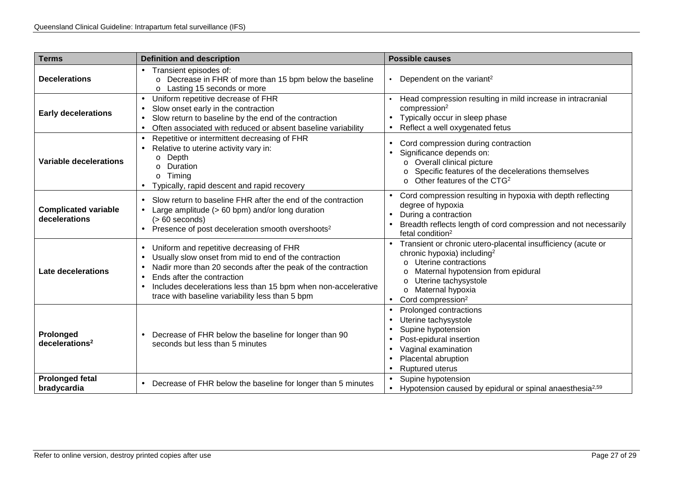| <b>Terms</b>                                 | <b>Definition and description</b>                                                                                                                                                                                                                                                                                   | <b>Possible causes</b>                                                                                                                                                                                                                                                  |
|----------------------------------------------|---------------------------------------------------------------------------------------------------------------------------------------------------------------------------------------------------------------------------------------------------------------------------------------------------------------------|-------------------------------------------------------------------------------------------------------------------------------------------------------------------------------------------------------------------------------------------------------------------------|
| <b>Decelerations</b>                         | Transient episodes of:<br>Decrease in FHR of more than 15 bpm below the baseline<br>$\circ$<br>Lasting 15 seconds or more<br>$\circ$                                                                                                                                                                                | Dependent on the variant <sup>2</sup>                                                                                                                                                                                                                                   |
| <b>Early decelerations</b>                   | Uniform repetitive decrease of FHR<br>Slow onset early in the contraction<br>Slow return to baseline by the end of the contraction<br>Often associated with reduced or absent baseline variability                                                                                                                  | Head compression resulting in mild increase in intracranial<br>compression <sup>2</sup><br>Typically occur in sleep phase<br>Reflect a well oxygenated fetus                                                                                                            |
| <b>Variable decelerations</b>                | Repetitive or intermittent decreasing of FHR<br>Relative to uterine activity vary in:<br>Depth<br>$\circ$<br>Duration<br>$\Omega$<br>Timing<br>$\circ$<br>Typically, rapid descent and rapid recovery                                                                                                               | Cord compression during contraction<br>Significance depends on:<br>Overall clinical picture<br>$\circ$<br>Specific features of the decelerations themselves<br>Other features of the CTG <sup>2</sup><br>$\Omega$                                                       |
| <b>Complicated variable</b><br>decelerations | Slow return to baseline FHR after the end of the contraction<br>Large amplitude (> 60 bpm) and/or long duration<br>$(>60$ seconds)<br>Presence of post deceleration smooth overshoots <sup>2</sup>                                                                                                                  | Cord compression resulting in hypoxia with depth reflecting<br>degree of hypoxia<br>During a contraction<br>Breadth reflects length of cord compression and not necessarily<br>fetal condition <sup>2</sup>                                                             |
| <b>Late decelerations</b>                    | Uniform and repetitive decreasing of FHR<br>Usually slow onset from mid to end of the contraction<br>Nadir more than 20 seconds after the peak of the contraction<br>Ends after the contraction<br>Includes decelerations less than 15 bpm when non-accelerative<br>trace with baseline variability less than 5 bpm | Transient or chronic utero-placental insufficiency (acute or<br>chronic hypoxia) including <sup>2</sup><br>Uterine contractions<br>Maternal hypotension from epidural<br>O<br>Uterine tachysystole<br>O<br>Maternal hypoxia<br>$\circ$<br>Cord compression <sup>2</sup> |
| Prolonged<br>decelerations <sup>2</sup>      | Decrease of FHR below the baseline for longer than 90<br>seconds but less than 5 minutes                                                                                                                                                                                                                            | Prolonged contractions<br>×<br>Uterine tachysystole<br>Supine hypotension<br>Post-epidural insertion<br>Vaginal examination<br>Placental abruption<br>Ruptured uterus                                                                                                   |
| <b>Prolonged fetal</b><br>bradycardia        | Decrease of FHR below the baseline for longer than 5 minutes                                                                                                                                                                                                                                                        | Supine hypotension<br>Hypotension caused by epidural or spinal anaesthesia <sup>2,59</sup>                                                                                                                                                                              |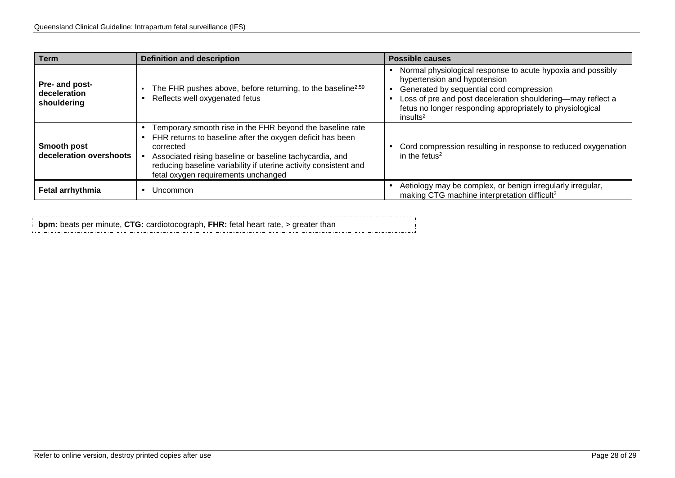| <b>Term</b>                                   | <b>Definition and description</b>                                                                                                                                                                                                                                                                         | <b>Possible causes</b>                                                                                                                                                                                                                                                                      |
|-----------------------------------------------|-----------------------------------------------------------------------------------------------------------------------------------------------------------------------------------------------------------------------------------------------------------------------------------------------------------|---------------------------------------------------------------------------------------------------------------------------------------------------------------------------------------------------------------------------------------------------------------------------------------------|
| Pre- and post-<br>deceleration<br>shouldering | The FHR pushes above, before returning, to the baseline <sup>2,59</sup><br>Reflects well oxygenated fetus                                                                                                                                                                                                 | Normal physiological response to acute hypoxia and possibly<br>hypertension and hypotension<br>Generated by sequential cord compression<br>Loss of pre and post deceleration shouldering-may reflect a<br>fetus no longer responding appropriately to physiological<br>insults <sup>2</sup> |
| Smooth post<br>deceleration overshoots        | Temporary smooth rise in the FHR beyond the baseline rate<br>FHR returns to baseline after the oxygen deficit has been<br>corrected<br>Associated rising baseline or baseline tachycardia, and<br>reducing baseline variability if uterine activity consistent and<br>fetal oxygen requirements unchanged | Cord compression resulting in response to reduced oxygenation<br>in the fetus <sup>2</sup>                                                                                                                                                                                                  |
| <b>Fetal arrhythmia</b>                       | Uncommon                                                                                                                                                                                                                                                                                                  | Aetiology may be complex, or benign irregularly irregular,<br>making CTG machine interpretation difficult <sup>2</sup>                                                                                                                                                                      |

**bpm:** beats per minute, **CTG:** cardiotocograph, **FHR:** fetal heart rate, > greater than